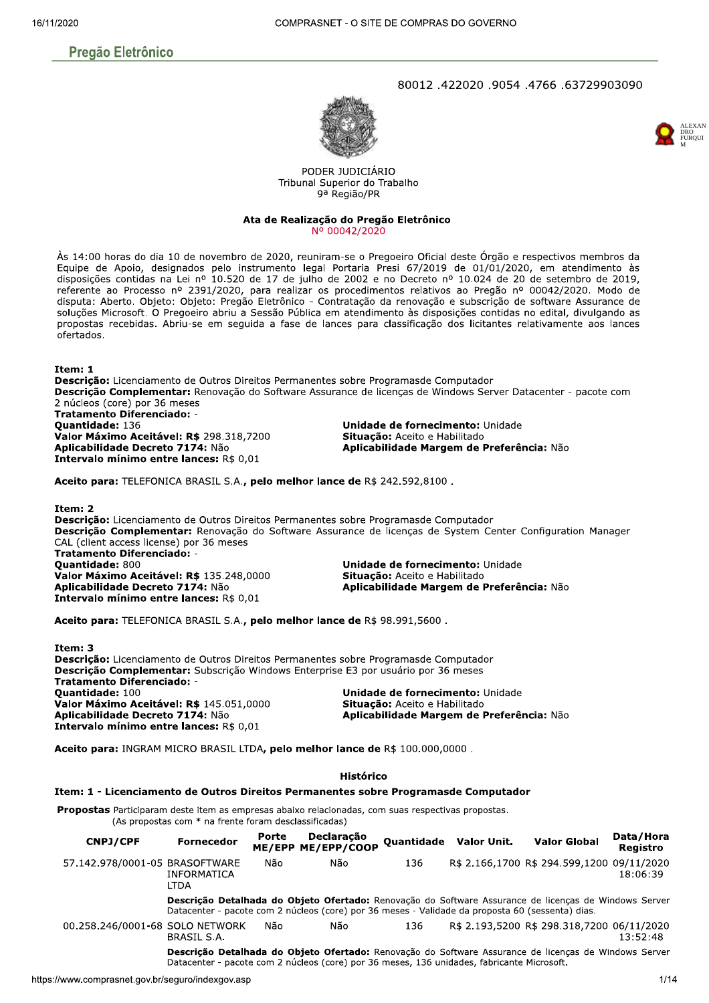# **Pregão Eletrônico**

## 80012,422020,9054,766,2729903090





PODER JUDICIÁRIO Tribunal Superior do Trabalho 9ª Região/PR

#### Ata de Realização do Pregão Eletrônico Nº 00042/2020

Às 14:00 horas do dia 10 de novembro de 2020, reuniram-se o Pregoeiro Oficial deste Órgão e respectivos membros da Equipe de Apoio, designados pelo instrumento legal Portaria Presi 67/2019 de 01/01/2020, em atendimento às disposições contidas na Lei nº 10.520 de 17 de julho de 2002 e no Decreto nº 10.024 de 20 de setembro de 2019, referente ao Processo nº 2391/2020, para realizar os procedimentos relativos ao Pregão nº 00042/2020. Modo de disputa: Aberto. Objeto: Objeto: Pregão Eletrônico - Contratação da renovação e subscrição de software Assurance de soluções Microsoft. O Pregoeiro abriu a Sessão Pública em atendimento às disposições contidas no edital, divulgando as propostas recebidas. Abriu-se em seguida a fase de lances para classificação dos licitantes relativamente aos lances ofertados.

#### Ttem: 1

Descrição: Licenciamento de Outros Direitos Permanentes sobre Programasde Computador Descrição Complementar: Renovação do Software Assurance de licenças de Windows Server Datacenter - pacote com 2 núcleos (core) por 36 meses **Tratamento Diferenciado:** Quantidade: 136 Unidade de fornecimento: Unidade Valor Máximo Aceitável: R\$ 298.318,7200

Aplicabilidade Decreto 7174: Não Intervalo mínimo entre lances: R\$ 0,01 Situação: Aceito e Habilitado Aplicabilidade Margem de Preferência: Não

Aceito para: TELEFONICA BRASIL S.A., pelo melhor lance de R\$ 242.592,8100.

Item: 2 Descrição: Licenciamento de Outros Direitos Permanentes sobre Programasde Computador Descrição Complementar: Renovação do Software Assurance de licenças de System Center Configuration Manager CAL (client access license) por 36 meses Tratamento Diferenciado: -**Quantidade: 800** Unidade de fornecimento: Unidade Valor Máximo Aceitável: R\$ 135.248,0000 Situação: Aceito e Habilitado Aplicabilidade Decreto 7174: Não Aplicabilidade Margem de Preferência: Não Intervalo mínimo entre lances: R\$ 0,01

Aceito para: TELEFONICA BRASIL S.A., pelo melhor lance de R\$ 98.991,5600.

Item: 3 Descrição: Licenciamento de Outros Direitos Permanentes sobre Programasde Computador Descrição Complementar: Subscrição Windows Enterprise E3 por usuário por 36 meses Tratamento Diferenciado: -Quantidade: 100 Unidade de fornecimento: Unidade Valor Máximo Aceitável: R\$ 145.051,0000 Situação: Aceito e Habilitado Aplicabilidade Decreto 7174: Não Aplicabilidade Margem de Preferência: Não Intervalo mínimo entre lances: R\$ 0.01

Aceito para: INGRAM MICRO BRASIL LTDA, pelo melhor lance de R\$ 100.000,0000.

#### **Histórico**

#### Item: 1 - Licenciamento de Outros Direitos Permanentes sobre Programasde Computador

Propostas Participaram deste item as empresas abaixo relacionadas, com suas respectivas propostas.

(As propostas com \* na frente foram desclassificadas)

| CNPJ/CPF                        | <b>Fornecedor</b>                 | Porte | Declaração<br>ME/EPP ME/EPP/COOP                                                                 |     | Quantidade Valor Unit. | <b>Valor Global</b>                                                                                   | Data/Hora<br><b>Registro</b> |
|---------------------------------|-----------------------------------|-------|--------------------------------------------------------------------------------------------------|-----|------------------------|-------------------------------------------------------------------------------------------------------|------------------------------|
| 57.142.978/0001-05 BRASOFTWARE  | <b>INFORMATICA</b><br><b>LTDA</b> | Não   | Não                                                                                              | 136 |                        | R\$ 2.166,1700 R\$ 294.599,1200 09/11/2020                                                            | 18:06:39                     |
|                                 |                                   |       | Datacenter - pacote com 2 núcleos (core) por 36 meses - Validade da proposta 60 (sessenta) dias. |     |                        | Descrição Detalhada do Objeto Ofertado: Renovação do Software Assurance de licenças de Windows Server |                              |
| 00.258.246/0001-68 SOLO NETWORK | BRASIL S.A.                       | Não   | Não                                                                                              | 136 |                        | R\$ 2.193.5200 R\$ 298.318.7200 06/11/2020                                                            | 13:52:48                     |
|                                 |                                   |       | Datacenter - pacote com 2 núcleos (core) por 36 meses, 136 unidades, fabricante Microsoft.       |     |                        | Descrição Detalhada do Objeto Ofertado: Renovação do Software Assurance de licenças de Windows Server |                              |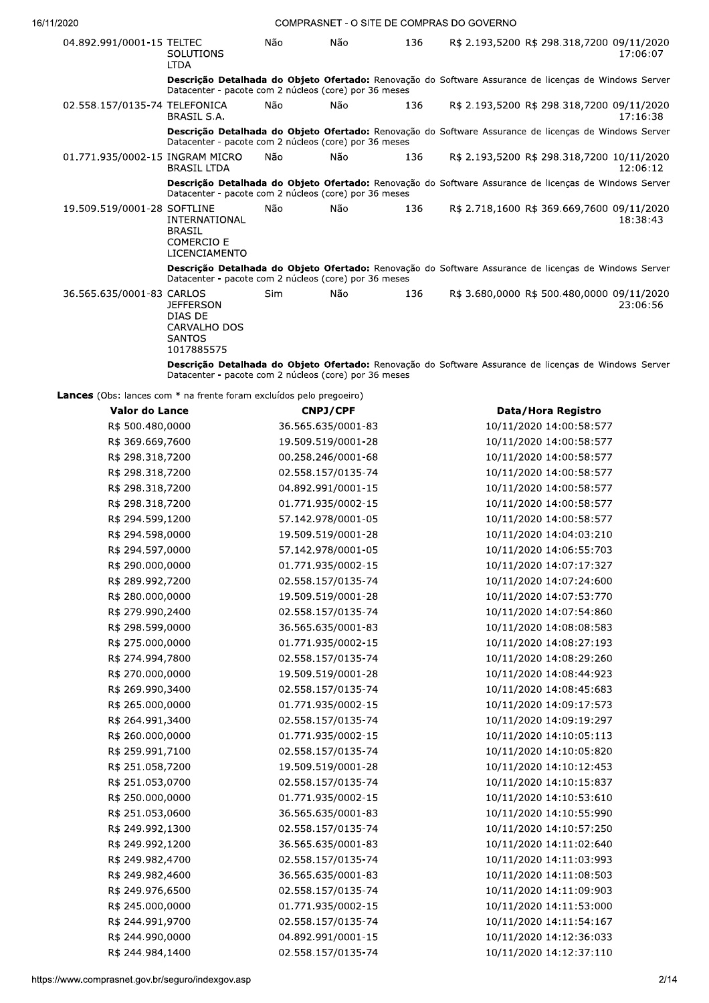| 04.892.991/0001-15 TELTEC       | <b>SOLUTIONS</b><br><b>LTDA</b>                                                                                                                                | Não        | Não | 136 | R\$ 2.193,5200 R\$ 298.318,7200 09/11/2020 | 17:06:07 |
|---------------------------------|----------------------------------------------------------------------------------------------------------------------------------------------------------------|------------|-----|-----|--------------------------------------------|----------|
|                                 | Descrição Detalhada do Objeto Ofertado: Renovação do Software Assurance de licenças de Windows Server<br>Datacenter - pacote com 2 núcleos (core) por 36 meses |            |     |     |                                            |          |
| 02.558.157/0135-74 TELEFONICA   | BRASIL S.A.                                                                                                                                                    | Não        | Não | 136 | R\$ 2.193,5200 R\$ 298.318,7200 09/11/2020 | 17:16:38 |
|                                 | Descrição Detalhada do Objeto Ofertado: Renovação do Software Assurance de licenças de Windows Server<br>Datacenter - pacote com 2 núcleos (core) por 36 meses |            |     |     |                                            |          |
| 01.771.935/0002-15 INGRAM MICRO | <b>BRASIL LTDA</b>                                                                                                                                             | Não        | Não | 136 | R\$ 2.193,5200 R\$ 298.318,7200 10/11/2020 | 12:06:12 |
|                                 | Descrição Detalhada do Objeto Ofertado: Renovação do Software Assurance de licenças de Windows Server<br>Datacenter - pacote com 2 núcleos (core) por 36 meses |            |     |     |                                            |          |
| 19.509.519/0001-28 SOFTLINE     | INTERNATIONAL<br><b>BRASIL</b><br><b>COMERCIO E</b><br><b>LICENCIAMENTO</b>                                                                                    | Não        | Não | 136 | R\$ 2.718,1600 R\$ 369.669,7600 09/11/2020 | 18:38:43 |
|                                 | Descrição Detalhada do Objeto Ofertado: Renovação do Software Assurance de licenças de Windows Server<br>Datacenter - pacote com 2 núcleos (core) por 36 meses |            |     |     |                                            |          |
| 36.565.635/0001-83 CARLOS       | <b>JEFFERSON</b><br>DIAS DE<br>CARVALHO DOS<br><b>SANTOS</b><br>1017885575                                                                                     | <b>Sim</b> | Não | 136 | R\$ 3.680,0000 R\$ 500.480,0000 09/11/2020 | 23:06:56 |
|                                 | Descrição Detalhada do Objeto Ofertado: Renovação do Software Assurance de licenças de Windows Server                                                          |            |     |     |                                            |          |

**Lances** (Obs: lances com \* na frente foram excluídos pelo pregoeiro)

 $\mu$ atacenter - pacote com 2 nucleos (core) por 36 meses

| <b>CNPJ/CPF</b><br>Data/Hora Registro<br>Valor do Lance<br>R\$ 500.480,0000<br>36.565.635/0001-83<br>10/11/2020 14:00:58:577<br>R\$ 369.669,7600<br>19.509.519/0001-28<br>10/11/2020 14:00:58:577<br>R\$ 298.318,7200<br>00.258.246/0001-68<br>10/11/2020 14:00:58:577<br>R\$ 298.318,7200<br>02.558.157/0135-74<br>10/11/2020 14:00:58:577<br>R\$ 298.318,7200<br>04.892.991/0001-15<br>10/11/2020 14:00:58:577<br>R\$ 298.318,7200<br>01.771.935/0002-15<br>10/11/2020 14:00:58:577<br>R\$ 294.599,1200<br>57.142.978/0001-05<br>10/11/2020 14:00:58:577<br>R\$ 294.598,0000<br>19.509.519/0001-28<br>10/11/2020 14:04:03:210<br>R\$ 294.597,0000<br>57.142.978/0001-05<br>10/11/2020 14:06:55:703<br>R\$ 290.000,0000<br>01.771.935/0002-15<br>10/11/2020 14:07:17:327<br>R\$ 289.992,7200<br>02.558.157/0135-74<br>10/11/2020 14:07:24:600<br>R\$ 280.000,0000<br>19.509.519/0001-28<br>10/11/2020 14:07:53:770<br>R\$ 279.990,2400<br>02.558.157/0135-74<br>10/11/2020 14:07:54:860<br>R\$ 298.599,0000<br>36.565.635/0001-83<br>10/11/2020 14:08:08:583<br>R\$ 275.000,0000<br>01.771.935/0002-15<br>10/11/2020 14:08:27:193<br>R\$ 274.994,7800<br>02.558.157/0135-74<br>10/11/2020 14:08:29:260<br>R\$ 270.000,0000<br>19.509.519/0001-28<br>10/11/2020 14:08:44:923<br>R\$ 269.990,3400<br>02.558.157/0135-74<br>10/11/2020 14:08:45:683<br>R\$ 265.000,0000<br>01.771.935/0002-15<br>10/11/2020 14:09:17:573<br>R\$ 264.991,3400<br>02.558.157/0135-74<br>10/11/2020 14:09:19:297<br>R\$ 260.000,0000<br>01.771.935/0002-15<br>10/11/2020 14:10:05:113<br>R\$ 259.991,7100<br>02.558.157/0135-74<br>10/11/2020 14:10:05:820<br>R\$ 251.058,7200<br>19.509.519/0001-28<br>10/11/2020 14:10:12:453<br>R\$ 251.053,0700<br>02.558.157/0135-74<br>10/11/2020 14:10:15:837<br>R\$ 250.000,0000<br>01.771.935/0002-15<br>10/11/2020 14:10:53:610<br>R\$ 251.053,0600<br>36.565.635/0001-83<br>10/11/2020 14:10:55:990<br>R\$ 249.992,1300<br>02.558.157/0135-74<br>10/11/2020 14:10:57:250<br>R\$ 249.992,1200<br>36.565.635/0001-83<br>10/11/2020 14:11:02:640<br>R\$ 249.982,4700<br>02.558.157/0135-74<br>10/11/2020 14:11:03:993<br>R\$ 249.982,4600<br>10/11/2020 14:11:08:503<br>36.565.635/0001-83<br>R\$ 249.976,6500<br>10/11/2020 14:11:09:903<br>02.558.157/0135-74<br>R\$ 245.000,0000<br>01.771.935/0002-15<br>10/11/2020 14:11:53:000<br>R\$ 244.991,9700<br>02.558.157/0135-74<br>10/11/2020 14:11:54:167<br>R\$ 244.990,0000<br>04.892.991/0001-15<br>10/11/2020 14:12:36:033<br>R\$ 244.984,1400<br>02.558.157/0135-74<br>10/11/2020 14:12:37:110<br>2/1 |                                     |  |  |  |
|-------------------------------------------------------------------------------------------------------------------------------------------------------------------------------------------------------------------------------------------------------------------------------------------------------------------------------------------------------------------------------------------------------------------------------------------------------------------------------------------------------------------------------------------------------------------------------------------------------------------------------------------------------------------------------------------------------------------------------------------------------------------------------------------------------------------------------------------------------------------------------------------------------------------------------------------------------------------------------------------------------------------------------------------------------------------------------------------------------------------------------------------------------------------------------------------------------------------------------------------------------------------------------------------------------------------------------------------------------------------------------------------------------------------------------------------------------------------------------------------------------------------------------------------------------------------------------------------------------------------------------------------------------------------------------------------------------------------------------------------------------------------------------------------------------------------------------------------------------------------------------------------------------------------------------------------------------------------------------------------------------------------------------------------------------------------------------------------------------------------------------------------------------------------------------------------------------------------------------------------------------------------------------------------------------------------------------------------------------------------------------------------------------------------------------------------------------------------------------------------------------------------------------------------------------------------------------|-------------------------------------|--|--|--|
|                                                                                                                                                                                                                                                                                                                                                                                                                                                                                                                                                                                                                                                                                                                                                                                                                                                                                                                                                                                                                                                                                                                                                                                                                                                                                                                                                                                                                                                                                                                                                                                                                                                                                                                                                                                                                                                                                                                                                                                                                                                                                                                                                                                                                                                                                                                                                                                                                                                                                                                                                                               |                                     |  |  |  |
|                                                                                                                                                                                                                                                                                                                                                                                                                                                                                                                                                                                                                                                                                                                                                                                                                                                                                                                                                                                                                                                                                                                                                                                                                                                                                                                                                                                                                                                                                                                                                                                                                                                                                                                                                                                                                                                                                                                                                                                                                                                                                                                                                                                                                                                                                                                                                                                                                                                                                                                                                                               | mprasnet.gov.br/seguro/indexgov.asp |  |  |  |
|                                                                                                                                                                                                                                                                                                                                                                                                                                                                                                                                                                                                                                                                                                                                                                                                                                                                                                                                                                                                                                                                                                                                                                                                                                                                                                                                                                                                                                                                                                                                                                                                                                                                                                                                                                                                                                                                                                                                                                                                                                                                                                                                                                                                                                                                                                                                                                                                                                                                                                                                                                               |                                     |  |  |  |
|                                                                                                                                                                                                                                                                                                                                                                                                                                                                                                                                                                                                                                                                                                                                                                                                                                                                                                                                                                                                                                                                                                                                                                                                                                                                                                                                                                                                                                                                                                                                                                                                                                                                                                                                                                                                                                                                                                                                                                                                                                                                                                                                                                                                                                                                                                                                                                                                                                                                                                                                                                               |                                     |  |  |  |
|                                                                                                                                                                                                                                                                                                                                                                                                                                                                                                                                                                                                                                                                                                                                                                                                                                                                                                                                                                                                                                                                                                                                                                                                                                                                                                                                                                                                                                                                                                                                                                                                                                                                                                                                                                                                                                                                                                                                                                                                                                                                                                                                                                                                                                                                                                                                                                                                                                                                                                                                                                               |                                     |  |  |  |
|                                                                                                                                                                                                                                                                                                                                                                                                                                                                                                                                                                                                                                                                                                                                                                                                                                                                                                                                                                                                                                                                                                                                                                                                                                                                                                                                                                                                                                                                                                                                                                                                                                                                                                                                                                                                                                                                                                                                                                                                                                                                                                                                                                                                                                                                                                                                                                                                                                                                                                                                                                               |                                     |  |  |  |
|                                                                                                                                                                                                                                                                                                                                                                                                                                                                                                                                                                                                                                                                                                                                                                                                                                                                                                                                                                                                                                                                                                                                                                                                                                                                                                                                                                                                                                                                                                                                                                                                                                                                                                                                                                                                                                                                                                                                                                                                                                                                                                                                                                                                                                                                                                                                                                                                                                                                                                                                                                               |                                     |  |  |  |
|                                                                                                                                                                                                                                                                                                                                                                                                                                                                                                                                                                                                                                                                                                                                                                                                                                                                                                                                                                                                                                                                                                                                                                                                                                                                                                                                                                                                                                                                                                                                                                                                                                                                                                                                                                                                                                                                                                                                                                                                                                                                                                                                                                                                                                                                                                                                                                                                                                                                                                                                                                               |                                     |  |  |  |
|                                                                                                                                                                                                                                                                                                                                                                                                                                                                                                                                                                                                                                                                                                                                                                                                                                                                                                                                                                                                                                                                                                                                                                                                                                                                                                                                                                                                                                                                                                                                                                                                                                                                                                                                                                                                                                                                                                                                                                                                                                                                                                                                                                                                                                                                                                                                                                                                                                                                                                                                                                               |                                     |  |  |  |
|                                                                                                                                                                                                                                                                                                                                                                                                                                                                                                                                                                                                                                                                                                                                                                                                                                                                                                                                                                                                                                                                                                                                                                                                                                                                                                                                                                                                                                                                                                                                                                                                                                                                                                                                                                                                                                                                                                                                                                                                                                                                                                                                                                                                                                                                                                                                                                                                                                                                                                                                                                               |                                     |  |  |  |
|                                                                                                                                                                                                                                                                                                                                                                                                                                                                                                                                                                                                                                                                                                                                                                                                                                                                                                                                                                                                                                                                                                                                                                                                                                                                                                                                                                                                                                                                                                                                                                                                                                                                                                                                                                                                                                                                                                                                                                                                                                                                                                                                                                                                                                                                                                                                                                                                                                                                                                                                                                               |                                     |  |  |  |
|                                                                                                                                                                                                                                                                                                                                                                                                                                                                                                                                                                                                                                                                                                                                                                                                                                                                                                                                                                                                                                                                                                                                                                                                                                                                                                                                                                                                                                                                                                                                                                                                                                                                                                                                                                                                                                                                                                                                                                                                                                                                                                                                                                                                                                                                                                                                                                                                                                                                                                                                                                               |                                     |  |  |  |
|                                                                                                                                                                                                                                                                                                                                                                                                                                                                                                                                                                                                                                                                                                                                                                                                                                                                                                                                                                                                                                                                                                                                                                                                                                                                                                                                                                                                                                                                                                                                                                                                                                                                                                                                                                                                                                                                                                                                                                                                                                                                                                                                                                                                                                                                                                                                                                                                                                                                                                                                                                               |                                     |  |  |  |
|                                                                                                                                                                                                                                                                                                                                                                                                                                                                                                                                                                                                                                                                                                                                                                                                                                                                                                                                                                                                                                                                                                                                                                                                                                                                                                                                                                                                                                                                                                                                                                                                                                                                                                                                                                                                                                                                                                                                                                                                                                                                                                                                                                                                                                                                                                                                                                                                                                                                                                                                                                               |                                     |  |  |  |
|                                                                                                                                                                                                                                                                                                                                                                                                                                                                                                                                                                                                                                                                                                                                                                                                                                                                                                                                                                                                                                                                                                                                                                                                                                                                                                                                                                                                                                                                                                                                                                                                                                                                                                                                                                                                                                                                                                                                                                                                                                                                                                                                                                                                                                                                                                                                                                                                                                                                                                                                                                               |                                     |  |  |  |
|                                                                                                                                                                                                                                                                                                                                                                                                                                                                                                                                                                                                                                                                                                                                                                                                                                                                                                                                                                                                                                                                                                                                                                                                                                                                                                                                                                                                                                                                                                                                                                                                                                                                                                                                                                                                                                                                                                                                                                                                                                                                                                                                                                                                                                                                                                                                                                                                                                                                                                                                                                               |                                     |  |  |  |
|                                                                                                                                                                                                                                                                                                                                                                                                                                                                                                                                                                                                                                                                                                                                                                                                                                                                                                                                                                                                                                                                                                                                                                                                                                                                                                                                                                                                                                                                                                                                                                                                                                                                                                                                                                                                                                                                                                                                                                                                                                                                                                                                                                                                                                                                                                                                                                                                                                                                                                                                                                               |                                     |  |  |  |
|                                                                                                                                                                                                                                                                                                                                                                                                                                                                                                                                                                                                                                                                                                                                                                                                                                                                                                                                                                                                                                                                                                                                                                                                                                                                                                                                                                                                                                                                                                                                                                                                                                                                                                                                                                                                                                                                                                                                                                                                                                                                                                                                                                                                                                                                                                                                                                                                                                                                                                                                                                               |                                     |  |  |  |
|                                                                                                                                                                                                                                                                                                                                                                                                                                                                                                                                                                                                                                                                                                                                                                                                                                                                                                                                                                                                                                                                                                                                                                                                                                                                                                                                                                                                                                                                                                                                                                                                                                                                                                                                                                                                                                                                                                                                                                                                                                                                                                                                                                                                                                                                                                                                                                                                                                                                                                                                                                               |                                     |  |  |  |
|                                                                                                                                                                                                                                                                                                                                                                                                                                                                                                                                                                                                                                                                                                                                                                                                                                                                                                                                                                                                                                                                                                                                                                                                                                                                                                                                                                                                                                                                                                                                                                                                                                                                                                                                                                                                                                                                                                                                                                                                                                                                                                                                                                                                                                                                                                                                                                                                                                                                                                                                                                               |                                     |  |  |  |
|                                                                                                                                                                                                                                                                                                                                                                                                                                                                                                                                                                                                                                                                                                                                                                                                                                                                                                                                                                                                                                                                                                                                                                                                                                                                                                                                                                                                                                                                                                                                                                                                                                                                                                                                                                                                                                                                                                                                                                                                                                                                                                                                                                                                                                                                                                                                                                                                                                                                                                                                                                               |                                     |  |  |  |
|                                                                                                                                                                                                                                                                                                                                                                                                                                                                                                                                                                                                                                                                                                                                                                                                                                                                                                                                                                                                                                                                                                                                                                                                                                                                                                                                                                                                                                                                                                                                                                                                                                                                                                                                                                                                                                                                                                                                                                                                                                                                                                                                                                                                                                                                                                                                                                                                                                                                                                                                                                               |                                     |  |  |  |
|                                                                                                                                                                                                                                                                                                                                                                                                                                                                                                                                                                                                                                                                                                                                                                                                                                                                                                                                                                                                                                                                                                                                                                                                                                                                                                                                                                                                                                                                                                                                                                                                                                                                                                                                                                                                                                                                                                                                                                                                                                                                                                                                                                                                                                                                                                                                                                                                                                                                                                                                                                               |                                     |  |  |  |
|                                                                                                                                                                                                                                                                                                                                                                                                                                                                                                                                                                                                                                                                                                                                                                                                                                                                                                                                                                                                                                                                                                                                                                                                                                                                                                                                                                                                                                                                                                                                                                                                                                                                                                                                                                                                                                                                                                                                                                                                                                                                                                                                                                                                                                                                                                                                                                                                                                                                                                                                                                               |                                     |  |  |  |
|                                                                                                                                                                                                                                                                                                                                                                                                                                                                                                                                                                                                                                                                                                                                                                                                                                                                                                                                                                                                                                                                                                                                                                                                                                                                                                                                                                                                                                                                                                                                                                                                                                                                                                                                                                                                                                                                                                                                                                                                                                                                                                                                                                                                                                                                                                                                                                                                                                                                                                                                                                               |                                     |  |  |  |
|                                                                                                                                                                                                                                                                                                                                                                                                                                                                                                                                                                                                                                                                                                                                                                                                                                                                                                                                                                                                                                                                                                                                                                                                                                                                                                                                                                                                                                                                                                                                                                                                                                                                                                                                                                                                                                                                                                                                                                                                                                                                                                                                                                                                                                                                                                                                                                                                                                                                                                                                                                               |                                     |  |  |  |
|                                                                                                                                                                                                                                                                                                                                                                                                                                                                                                                                                                                                                                                                                                                                                                                                                                                                                                                                                                                                                                                                                                                                                                                                                                                                                                                                                                                                                                                                                                                                                                                                                                                                                                                                                                                                                                                                                                                                                                                                                                                                                                                                                                                                                                                                                                                                                                                                                                                                                                                                                                               |                                     |  |  |  |
|                                                                                                                                                                                                                                                                                                                                                                                                                                                                                                                                                                                                                                                                                                                                                                                                                                                                                                                                                                                                                                                                                                                                                                                                                                                                                                                                                                                                                                                                                                                                                                                                                                                                                                                                                                                                                                                                                                                                                                                                                                                                                                                                                                                                                                                                                                                                                                                                                                                                                                                                                                               |                                     |  |  |  |
|                                                                                                                                                                                                                                                                                                                                                                                                                                                                                                                                                                                                                                                                                                                                                                                                                                                                                                                                                                                                                                                                                                                                                                                                                                                                                                                                                                                                                                                                                                                                                                                                                                                                                                                                                                                                                                                                                                                                                                                                                                                                                                                                                                                                                                                                                                                                                                                                                                                                                                                                                                               |                                     |  |  |  |
|                                                                                                                                                                                                                                                                                                                                                                                                                                                                                                                                                                                                                                                                                                                                                                                                                                                                                                                                                                                                                                                                                                                                                                                                                                                                                                                                                                                                                                                                                                                                                                                                                                                                                                                                                                                                                                                                                                                                                                                                                                                                                                                                                                                                                                                                                                                                                                                                                                                                                                                                                                               |                                     |  |  |  |
|                                                                                                                                                                                                                                                                                                                                                                                                                                                                                                                                                                                                                                                                                                                                                                                                                                                                                                                                                                                                                                                                                                                                                                                                                                                                                                                                                                                                                                                                                                                                                                                                                                                                                                                                                                                                                                                                                                                                                                                                                                                                                                                                                                                                                                                                                                                                                                                                                                                                                                                                                                               |                                     |  |  |  |
|                                                                                                                                                                                                                                                                                                                                                                                                                                                                                                                                                                                                                                                                                                                                                                                                                                                                                                                                                                                                                                                                                                                                                                                                                                                                                                                                                                                                                                                                                                                                                                                                                                                                                                                                                                                                                                                                                                                                                                                                                                                                                                                                                                                                                                                                                                                                                                                                                                                                                                                                                                               |                                     |  |  |  |
|                                                                                                                                                                                                                                                                                                                                                                                                                                                                                                                                                                                                                                                                                                                                                                                                                                                                                                                                                                                                                                                                                                                                                                                                                                                                                                                                                                                                                                                                                                                                                                                                                                                                                                                                                                                                                                                                                                                                                                                                                                                                                                                                                                                                                                                                                                                                                                                                                                                                                                                                                                               |                                     |  |  |  |
|                                                                                                                                                                                                                                                                                                                                                                                                                                                                                                                                                                                                                                                                                                                                                                                                                                                                                                                                                                                                                                                                                                                                                                                                                                                                                                                                                                                                                                                                                                                                                                                                                                                                                                                                                                                                                                                                                                                                                                                                                                                                                                                                                                                                                                                                                                                                                                                                                                                                                                                                                                               |                                     |  |  |  |
|                                                                                                                                                                                                                                                                                                                                                                                                                                                                                                                                                                                                                                                                                                                                                                                                                                                                                                                                                                                                                                                                                                                                                                                                                                                                                                                                                                                                                                                                                                                                                                                                                                                                                                                                                                                                                                                                                                                                                                                                                                                                                                                                                                                                                                                                                                                                                                                                                                                                                                                                                                               |                                     |  |  |  |
|                                                                                                                                                                                                                                                                                                                                                                                                                                                                                                                                                                                                                                                                                                                                                                                                                                                                                                                                                                                                                                                                                                                                                                                                                                                                                                                                                                                                                                                                                                                                                                                                                                                                                                                                                                                                                                                                                                                                                                                                                                                                                                                                                                                                                                                                                                                                                                                                                                                                                                                                                                               |                                     |  |  |  |
|                                                                                                                                                                                                                                                                                                                                                                                                                                                                                                                                                                                                                                                                                                                                                                                                                                                                                                                                                                                                                                                                                                                                                                                                                                                                                                                                                                                                                                                                                                                                                                                                                                                                                                                                                                                                                                                                                                                                                                                                                                                                                                                                                                                                                                                                                                                                                                                                                                                                                                                                                                               |                                     |  |  |  |
|                                                                                                                                                                                                                                                                                                                                                                                                                                                                                                                                                                                                                                                                                                                                                                                                                                                                                                                                                                                                                                                                                                                                                                                                                                                                                                                                                                                                                                                                                                                                                                                                                                                                                                                                                                                                                                                                                                                                                                                                                                                                                                                                                                                                                                                                                                                                                                                                                                                                                                                                                                               |                                     |  |  |  |
|                                                                                                                                                                                                                                                                                                                                                                                                                                                                                                                                                                                                                                                                                                                                                                                                                                                                                                                                                                                                                                                                                                                                                                                                                                                                                                                                                                                                                                                                                                                                                                                                                                                                                                                                                                                                                                                                                                                                                                                                                                                                                                                                                                                                                                                                                                                                                                                                                                                                                                                                                                               |                                     |  |  |  |
|                                                                                                                                                                                                                                                                                                                                                                                                                                                                                                                                                                                                                                                                                                                                                                                                                                                                                                                                                                                                                                                                                                                                                                                                                                                                                                                                                                                                                                                                                                                                                                                                                                                                                                                                                                                                                                                                                                                                                                                                                                                                                                                                                                                                                                                                                                                                                                                                                                                                                                                                                                               |                                     |  |  |  |
|                                                                                                                                                                                                                                                                                                                                                                                                                                                                                                                                                                                                                                                                                                                                                                                                                                                                                                                                                                                                                                                                                                                                                                                                                                                                                                                                                                                                                                                                                                                                                                                                                                                                                                                                                                                                                                                                                                                                                                                                                                                                                                                                                                                                                                                                                                                                                                                                                                                                                                                                                                               |                                     |  |  |  |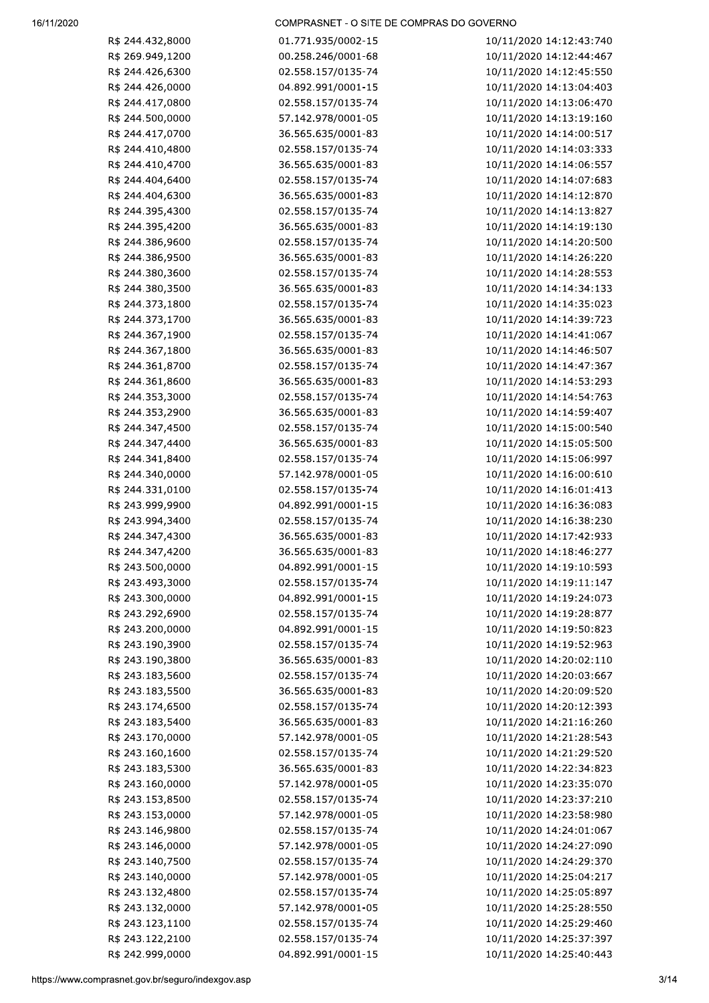| R\$ 244.432,8000 | 01.771.935/0002-15 | 10/11/2020 14:12:43:740 |
|------------------|--------------------|-------------------------|
| R\$ 269.949,1200 | 00.258.246/0001-68 | 10/11/2020 14:12:44:467 |
| R\$ 244.426,6300 | 02.558.157/0135-74 | 10/11/2020 14:12:45:550 |
| R\$ 244.426,0000 | 04.892.991/0001-15 | 10/11/2020 14:13:04:403 |
| R\$ 244.417,0800 | 02.558.157/0135-74 | 10/11/2020 14:13:06:470 |
| R\$ 244.500,0000 | 57.142.978/0001-05 | 10/11/2020 14:13:19:160 |
| R\$ 244.417,0700 | 36.565.635/0001-83 | 10/11/2020 14:14:00:517 |
| R\$ 244.410,4800 | 02.558.157/0135-74 | 10/11/2020 14:14:03:333 |
| R\$ 244.410,4700 | 36.565.635/0001-83 | 10/11/2020 14:14:06:557 |
| R\$ 244.404,6400 | 02.558.157/0135-74 | 10/11/2020 14:14:07:683 |
| R\$ 244.404,6300 | 36.565.635/0001-83 | 10/11/2020 14:14:12:870 |
| R\$ 244.395,4300 | 02.558.157/0135-74 | 10/11/2020 14:14:13:827 |
| R\$ 244.395,4200 | 36.565.635/0001-83 | 10/11/2020 14:14:19:130 |
| R\$ 244.386,9600 | 02.558.157/0135-74 | 10/11/2020 14:14:20:500 |
| R\$ 244.386,9500 |                    |                         |
|                  | 36.565.635/0001-83 | 10/11/2020 14:14:26:220 |
| R\$ 244.380,3600 | 02.558.157/0135-74 | 10/11/2020 14:14:28:553 |
| R\$ 244.380,3500 | 36.565.635/0001-83 | 10/11/2020 14:14:34:133 |
| R\$ 244.373,1800 | 02.558.157/0135-74 | 10/11/2020 14:14:35:023 |
| R\$ 244.373,1700 | 36.565.635/0001-83 | 10/11/2020 14:14:39:723 |
| R\$ 244.367,1900 | 02.558.157/0135-74 | 10/11/2020 14:14:41:067 |
| R\$ 244.367,1800 | 36.565.635/0001-83 | 10/11/2020 14:14:46:507 |
| R\$ 244.361,8700 | 02.558.157/0135-74 | 10/11/2020 14:14:47:367 |
| R\$ 244.361,8600 | 36.565.635/0001-83 | 10/11/2020 14:14:53:293 |
| R\$ 244.353,3000 | 02.558.157/0135-74 | 10/11/2020 14:14:54:763 |
| R\$ 244.353,2900 | 36.565.635/0001-83 | 10/11/2020 14:14:59:407 |
| R\$ 244.347,4500 | 02.558.157/0135-74 | 10/11/2020 14:15:00:540 |
| R\$ 244.347,4400 | 36.565.635/0001-83 | 10/11/2020 14:15:05:500 |
| R\$ 244.341,8400 | 02.558.157/0135-74 | 10/11/2020 14:15:06:997 |
| R\$ 244.340,0000 | 57.142.978/0001-05 | 10/11/2020 14:16:00:610 |
| R\$ 244.331,0100 | 02.558.157/0135-74 | 10/11/2020 14:16:01:413 |
| R\$ 243.999,9900 | 04.892.991/0001-15 | 10/11/2020 14:16:36:083 |
| R\$ 243.994,3400 | 02.558.157/0135-74 | 10/11/2020 14:16:38:230 |
| R\$ 244.347,4300 | 36.565.635/0001-83 | 10/11/2020 14:17:42:933 |
| R\$ 244.347,4200 | 36.565.635/0001-83 | 10/11/2020 14:18:46:277 |
| R\$ 243.500,0000 | 04.892.991/0001-15 | 10/11/2020 14:19:10:593 |
| R\$ 243.493,3000 | 02.558.157/0135-74 | 10/11/2020 14:19:11:147 |
| R\$ 243.300,0000 | 04.892.991/0001-15 | 10/11/2020 14:19:24:073 |
| R\$ 243.292,6900 | 02.558.157/0135-74 | 10/11/2020 14:19:28:877 |
| R\$ 243.200,0000 | 04.892.991/0001-15 | 10/11/2020 14:19:50:823 |
| R\$ 243.190,3900 | 02.558.157/0135-74 | 10/11/2020 14:19:52:963 |
| R\$ 243.190,3800 | 36.565.635/0001-83 | 10/11/2020 14:20:02:110 |
| R\$ 243.183,5600 | 02.558.157/0135-74 | 10/11/2020 14:20:03:667 |
| R\$ 243.183,5500 | 36.565.635/0001-83 | 10/11/2020 14:20:09:520 |
| R\$ 243.174,6500 | 02.558.157/0135-74 | 10/11/2020 14:20:12:393 |
| R\$ 243.183,5400 | 36.565.635/0001-83 | 10/11/2020 14:21:16:260 |
| R\$ 243.170,0000 | 57.142.978/0001-05 | 10/11/2020 14:21:28:543 |
| R\$ 243.160,1600 | 02.558.157/0135-74 | 10/11/2020 14:21:29:520 |
| R\$ 243.183,5300 | 36.565.635/0001-83 | 10/11/2020 14:22:34:823 |
| R\$ 243.160,0000 | 57.142.978/0001-05 | 10/11/2020 14:23:35:070 |
| R\$ 243.153,8500 | 02.558.157/0135-74 | 10/11/2020 14:23:37:210 |
| R\$ 243.153,0000 | 57.142.978/0001-05 | 10/11/2020 14:23:58:980 |
| R\$ 243.146,9800 | 02.558.157/0135-74 | 10/11/2020 14:24:01:067 |
| R\$ 243.146,0000 | 57.142.978/0001-05 | 10/11/2020 14:24:27:090 |
| R\$ 243.140,7500 | 02.558.157/0135-74 | 10/11/2020 14:24:29:370 |
|                  |                    |                         |
| R\$ 243.140,0000 | 57.142.978/0001-05 | 10/11/2020 14:25:04:217 |
| R\$ 243.132,4800 | 02.558.157/0135-74 | 10/11/2020 14:25:05:897 |
| R\$ 243.132,0000 | 57.142.978/0001-05 | 10/11/2020 14:25:28:550 |
| R\$ 243.123,1100 | 02.558.157/0135-74 | 10/11/2020 14:25:29:460 |
| R\$ 243.122,2100 | 02.558.157/0135-74 | 10/11/2020 14:25:37:397 |
| R\$ 242.999,0000 | 04.892.991/0001-15 | 10/11/2020 14:25:40:443 |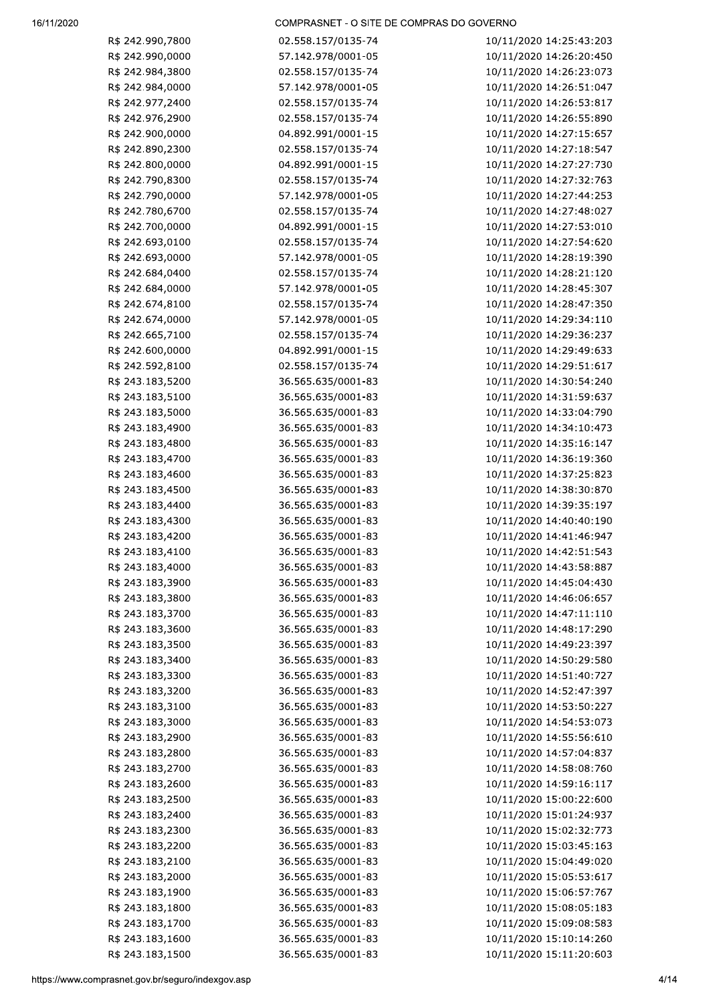| R\$ 242.990,7800                        | 02.558.157/0135-74 | 10/11/2020 14:25:43:203 |     |
|-----------------------------------------|--------------------|-------------------------|-----|
| R\$ 242.990,0000                        | 57.142.978/0001-05 | 10/11/2020 14:26:20:450 |     |
| R\$ 242.984,3800                        | 02.558.157/0135-74 | 10/11/2020 14:26:23:073 |     |
| R\$ 242.984,0000                        | 57.142.978/0001-05 | 10/11/2020 14:26:51:047 |     |
| R\$ 242.977,2400                        | 02.558.157/0135-74 | 10/11/2020 14:26:53:817 |     |
| R\$ 242.976,2900                        | 02.558.157/0135-74 | 10/11/2020 14:26:55:890 |     |
| R\$ 242.900,0000                        | 04.892.991/0001-15 | 10/11/2020 14:27:15:657 |     |
| R\$ 242.890,2300                        | 02.558.157/0135-74 | 10/11/2020 14:27:18:547 |     |
| R\$ 242.800,0000                        | 04.892.991/0001-15 | 10/11/2020 14:27:27:730 |     |
| R\$ 242.790,8300                        | 02.558.157/0135-74 | 10/11/2020 14:27:32:763 |     |
| R\$ 242.790,0000                        | 57.142.978/0001-05 | 10/11/2020 14:27:44:253 |     |
| R\$ 242.780,6700                        | 02.558.157/0135-74 | 10/11/2020 14:27:48:027 |     |
| R\$ 242.700,0000                        | 04.892.991/0001-15 | 10/11/2020 14:27:53:010 |     |
| R\$ 242.693,0100                        | 02.558.157/0135-74 | 10/11/2020 14:27:54:620 |     |
| R\$ 242.693,0000                        | 57.142.978/0001-05 | 10/11/2020 14:28:19:390 |     |
| R\$ 242.684,0400                        | 02.558.157/0135-74 | 10/11/2020 14:28:21:120 |     |
| R\$ 242.684,0000                        | 57.142.978/0001-05 | 10/11/2020 14:28:45:307 |     |
| R\$ 242.674,8100                        | 02.558.157/0135-74 | 10/11/2020 14:28:47:350 |     |
| R\$ 242.674,0000                        | 57.142.978/0001-05 | 10/11/2020 14:29:34:110 |     |
| R\$ 242.665,7100                        | 02.558.157/0135-74 | 10/11/2020 14:29:36:237 |     |
| R\$ 242.600,0000                        | 04.892.991/0001-15 | 10/11/2020 14:29:49:633 |     |
| R\$ 242.592,8100                        | 02.558.157/0135-74 | 10/11/2020 14:29:51:617 |     |
| R\$ 243.183,5200                        | 36.565.635/0001-83 | 10/11/2020 14:30:54:240 |     |
| R\$ 243.183,5100                        | 36.565.635/0001-83 | 10/11/2020 14:31:59:637 |     |
| R\$ 243.183,5000                        | 36.565.635/0001-83 | 10/11/2020 14:33:04:790 |     |
| R\$ 243.183,4900                        | 36.565.635/0001-83 | 10/11/2020 14:34:10:473 |     |
| R\$ 243.183,4800                        | 36.565.635/0001-83 | 10/11/2020 14:35:16:147 |     |
| R\$ 243.183,4700                        | 36.565.635/0001-83 | 10/11/2020 14:36:19:360 |     |
| R\$ 243.183,4600                        | 36.565.635/0001-83 | 10/11/2020 14:37:25:823 |     |
| R\$ 243.183,4500                        | 36.565.635/0001-83 | 10/11/2020 14:38:30:870 |     |
| R\$ 243.183,4400                        | 36.565.635/0001-83 | 10/11/2020 14:39:35:197 |     |
| R\$ 243.183,4300                        | 36.565.635/0001-83 | 10/11/2020 14:40:40:190 |     |
| R\$ 243.183,4200                        | 36.565.635/0001-83 | 10/11/2020 14:41:46:947 |     |
| R\$ 243.183,4100                        | 36.565.635/0001-83 | 10/11/2020 14:42:51:543 |     |
| R\$ 243.183,4000                        | 36.565.635/0001-83 | 10/11/2020 14:43:58:887 |     |
| R\$ 243.183,3900                        | 36.565.635/0001-83 | 10/11/2020 14:45:04:430 |     |
| R\$ 243.183,3800                        | 36.565.635/0001-83 | 10/11/2020 14:46:06:657 |     |
| R\$ 243.183,3700                        | 36.565.635/0001-83 | 10/11/2020 14:47:11:110 |     |
| R\$ 243.183,3600                        | 36.565.635/0001-83 | 10/11/2020 14:48:17:290 |     |
| R\$ 243.183,3500                        | 36.565.635/0001-83 | 10/11/2020 14:49:23:397 |     |
| R\$ 243.183,3400                        | 36.565.635/0001-83 | 10/11/2020 14:50:29:580 |     |
| R\$ 243.183,3300                        | 36.565.635/0001-83 | 10/11/2020 14:51:40:727 |     |
| R\$ 243.183,3200                        | 36.565.635/0001-83 | 10/11/2020 14:52:47:397 |     |
| R\$ 243.183,3100                        | 36.565.635/0001-83 | 10/11/2020 14:53:50:227 |     |
| R\$ 243.183,3000                        | 36.565.635/0001-83 | 10/11/2020 14:54:53:073 |     |
| R\$ 243.183,2900                        | 36.565.635/0001-83 | 10/11/2020 14:55:56:610 |     |
| R\$ 243.183,2800                        | 36.565.635/0001-83 | 10/11/2020 14:57:04:837 |     |
| R\$ 243.183,2700                        | 36.565.635/0001-83 | 10/11/2020 14:58:08:760 |     |
| R\$ 243.183,2600                        | 36.565.635/0001-83 | 10/11/2020 14:59:16:117 |     |
| R\$ 243.183,2500                        | 36.565.635/0001-83 | 10/11/2020 15:00:22:600 |     |
| R\$ 243.183,2400                        | 36.565.635/0001-83 | 10/11/2020 15:01:24:937 |     |
| R\$ 243.183,2300                        | 36.565.635/0001-83 | 10/11/2020 15:02:32:773 |     |
| R\$ 243.183,2200                        | 36.565.635/0001-83 | 10/11/2020 15:03:45:163 |     |
| R\$ 243.183,2100                        | 36.565.635/0001-83 | 10/11/2020 15:04:49:020 |     |
| R\$ 243.183,2000                        | 36.565.635/0001-83 | 10/11/2020 15:05:53:617 |     |
| R\$ 243.183,1900                        | 36.565.635/0001-83 | 10/11/2020 15:06:57:767 |     |
| R\$ 243.183,1800                        | 36.565.635/0001-83 | 10/11/2020 15:08:05:183 |     |
| R\$ 243.183,1700                        | 36.565.635/0001-83 | 10/11/2020 15:09:08:583 |     |
| R\$ 243.183,1600                        | 36.565.635/0001-83 | 10/11/2020 15:10:14:260 |     |
| R\$ 243.183,1500                        | 36.565.635/0001-83 | 10/11/2020 15:11:20:603 |     |
| w.comprasnet.gov.br/seguro/indexgov.asp |                    |                         | 4/1 |
|                                         |                    |                         |     |
|                                         |                    |                         |     |
|                                         |                    |                         |     |
|                                         |                    |                         |     |
|                                         |                    |                         |     |
|                                         |                    |                         |     |
|                                         |                    |                         |     |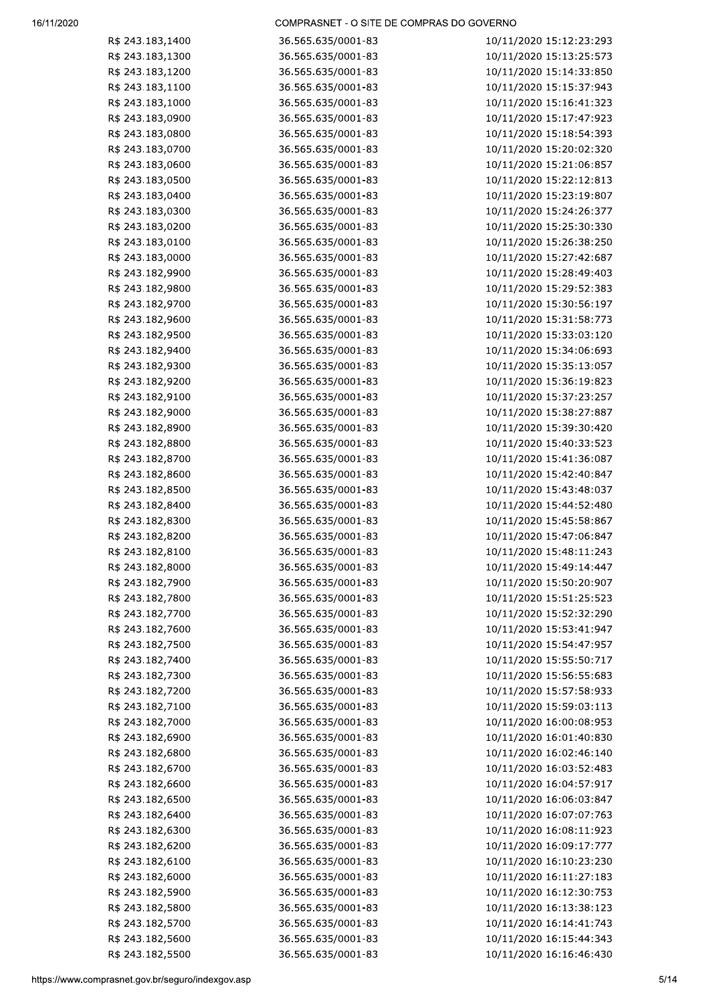#### 

| R\$ 243.183,1400                        | 36.565.635/0001-83 | 10/11/2020 15:12:23:293 |     |
|-----------------------------------------|--------------------|-------------------------|-----|
| R\$ 243.183,1300                        | 36.565.635/0001-83 | 10/11/2020 15:13:25:573 |     |
| R\$ 243.183,1200                        | 36.565.635/0001-83 | 10/11/2020 15:14:33:850 |     |
| R\$ 243.183,1100                        | 36.565.635/0001-83 | 10/11/2020 15:15:37:943 |     |
| R\$ 243.183,1000                        | 36.565.635/0001-83 | 10/11/2020 15:16:41:323 |     |
| R\$ 243.183,0900                        | 36.565.635/0001-83 | 10/11/2020 15:17:47:923 |     |
| R\$ 243.183,0800                        | 36.565.635/0001-83 | 10/11/2020 15:18:54:393 |     |
| R\$ 243.183,0700                        | 36.565.635/0001-83 | 10/11/2020 15:20:02:320 |     |
| R\$ 243.183,0600                        | 36.565.635/0001-83 | 10/11/2020 15:21:06:857 |     |
| R\$ 243.183,0500                        |                    |                         |     |
|                                         | 36.565.635/0001-83 | 10/11/2020 15:22:12:813 |     |
| R\$ 243.183,0400                        | 36.565.635/0001-83 | 10/11/2020 15:23:19:807 |     |
| R\$ 243.183,0300                        | 36.565.635/0001-83 | 10/11/2020 15:24:26:377 |     |
| R\$ 243.183,0200                        | 36.565.635/0001-83 | 10/11/2020 15:25:30:330 |     |
| R\$ 243.183,0100                        | 36.565.635/0001-83 | 10/11/2020 15:26:38:250 |     |
| R\$ 243.183,0000                        | 36.565.635/0001-83 | 10/11/2020 15:27:42:687 |     |
| R\$ 243.182,9900                        | 36.565.635/0001-83 | 10/11/2020 15:28:49:403 |     |
| R\$ 243.182,9800                        | 36.565.635/0001-83 | 10/11/2020 15:29:52:383 |     |
| R\$ 243.182,9700                        | 36.565.635/0001-83 | 10/11/2020 15:30:56:197 |     |
| R\$ 243.182,9600                        | 36.565.635/0001-83 | 10/11/2020 15:31:58:773 |     |
| R\$ 243.182,9500                        | 36.565.635/0001-83 | 10/11/2020 15:33:03:120 |     |
| R\$ 243.182,9400                        | 36.565.635/0001-83 | 10/11/2020 15:34:06:693 |     |
| R\$ 243.182,9300                        | 36.565.635/0001-83 | 10/11/2020 15:35:13:057 |     |
| R\$ 243.182,9200                        | 36.565.635/0001-83 | 10/11/2020 15:36:19:823 |     |
| R\$ 243.182,9100                        | 36.565.635/0001-83 | 10/11/2020 15:37:23:257 |     |
|                                         |                    |                         |     |
| R\$ 243.182,9000                        | 36.565.635/0001-83 | 10/11/2020 15:38:27:887 |     |
| R\$ 243.182,8900                        | 36.565.635/0001-83 | 10/11/2020 15:39:30:420 |     |
| R\$ 243.182,8800                        | 36.565.635/0001-83 | 10/11/2020 15:40:33:523 |     |
| R\$ 243.182,8700                        | 36.565.635/0001-83 | 10/11/2020 15:41:36:087 |     |
| R\$ 243.182,8600                        | 36.565.635/0001-83 | 10/11/2020 15:42:40:847 |     |
| R\$ 243.182,8500                        | 36.565.635/0001-83 | 10/11/2020 15:43:48:037 |     |
| R\$ 243.182,8400                        | 36.565.635/0001-83 | 10/11/2020 15:44:52:480 |     |
| R\$ 243.182,8300                        | 36.565.635/0001-83 | 10/11/2020 15:45:58:867 |     |
| R\$ 243.182,8200                        | 36.565.635/0001-83 | 10/11/2020 15:47:06:847 |     |
| R\$ 243.182,8100                        | 36.565.635/0001-83 | 10/11/2020 15:48:11:243 |     |
| R\$ 243.182,8000                        | 36.565.635/0001-83 | 10/11/2020 15:49:14:447 |     |
| R\$ 243.182,7900                        | 36.565.635/0001-83 | 10/11/2020 15:50:20:907 |     |
| R\$ 243.182,7800                        | 36.565.635/0001-83 | 10/11/2020 15:51:25:523 |     |
| R\$ 243.182,7700                        | 36.565.635/0001-83 | 10/11/2020 15:52:32:290 |     |
| R\$ 243.182,7600                        | 36.565.635/0001-83 | 10/11/2020 15:53:41:947 |     |
| R\$ 243.182,7500                        | 36.565.635/0001-83 | 10/11/2020 15:54:47:957 |     |
| R\$ 243.182,7400                        | 36.565.635/0001-83 | 10/11/2020 15:55:50:717 |     |
| R\$ 243.182,7300                        | 36.565.635/0001-83 | 10/11/2020 15:56:55:683 |     |
| R\$ 243.182,7200                        | 36.565.635/0001-83 | 10/11/2020 15:57:58:933 |     |
|                                         |                    |                         |     |
| R\$ 243.182,7100                        | 36.565.635/0001-83 | 10/11/2020 15:59:03:113 |     |
| R\$ 243.182,7000                        | 36.565.635/0001-83 | 10/11/2020 16:00:08:953 |     |
| R\$ 243.182,6900                        | 36.565.635/0001-83 | 10/11/2020 16:01:40:830 |     |
| R\$ 243.182,6800                        | 36.565.635/0001-83 | 10/11/2020 16:02:46:140 |     |
| R\$ 243.182,6700                        | 36.565.635/0001-83 | 10/11/2020 16:03:52:483 |     |
| R\$ 243.182,6600                        | 36.565.635/0001-83 | 10/11/2020 16:04:57:917 |     |
| R\$ 243.182,6500                        | 36.565.635/0001-83 | 10/11/2020 16:06:03:847 |     |
| R\$ 243.182,6400                        | 36.565.635/0001-83 | 10/11/2020 16:07:07:763 |     |
| R\$ 243.182,6300                        | 36.565.635/0001-83 | 10/11/2020 16:08:11:923 |     |
| R\$ 243.182,6200                        | 36.565.635/0001-83 | 10/11/2020 16:09:17:777 |     |
| R\$ 243.182,6100                        | 36.565.635/0001-83 | 10/11/2020 16:10:23:230 |     |
| R\$ 243.182,6000                        | 36.565.635/0001-83 | 10/11/2020 16:11:27:183 |     |
| R\$ 243.182,5900                        | 36.565.635/0001-83 | 10/11/2020 16:12:30:753 |     |
| R\$ 243.182,5800                        | 36.565.635/0001-83 | 10/11/2020 16:13:38:123 |     |
| R\$ 243.182,5700                        | 36.565.635/0001-83 | 10/11/2020 16:14:41:743 |     |
| R\$ 243.182,5600                        |                    | 10/11/2020 16:15:44:343 |     |
|                                         | 36.565.635/0001-83 |                         |     |
| R\$ 243.182,5500                        | 36.565.635/0001-83 | 10/11/2020 16:16:46:430 |     |
| w.comprasnet.gov.br/seguro/indexgov.asp |                    |                         | 5/1 |
|                                         |                    |                         |     |
|                                         |                    |                         |     |
|                                         |                    |                         |     |
|                                         |                    |                         |     |
|                                         |                    |                         |     |
|                                         |                    |                         |     |
|                                         |                    |                         |     |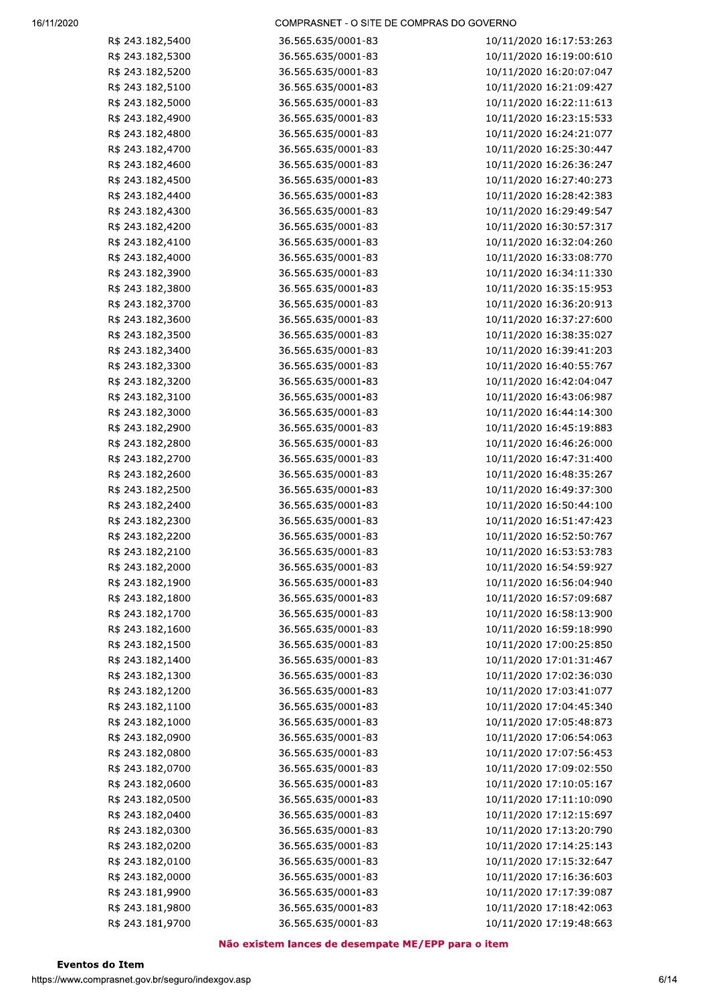| R\$ 243.182,5400                       | 36.565.635/0001-83                                 | 10/11/2020 16:17:53:263 |
|----------------------------------------|----------------------------------------------------|-------------------------|
| R\$ 243.182,5300                       | 36.565.635/0001-83                                 | 10/11/2020 16:19:00:610 |
| R\$ 243.182,5200                       | 36.565.635/0001-83                                 | 10/11/2020 16:20:07:047 |
| R\$ 243.182,5100                       | 36.565.635/0001-83                                 | 10/11/2020 16:21:09:427 |
| R\$ 243.182,5000                       | 36.565.635/0001-83                                 | 10/11/2020 16:22:11:613 |
| R\$ 243.182,4900                       | 36.565.635/0001-83                                 | 10/11/2020 16:23:15:533 |
| R\$ 243.182,4800                       | 36.565.635/0001-83                                 | 10/11/2020 16:24:21:077 |
| R\$ 243.182,4700                       | 36.565.635/0001-83                                 | 10/11/2020 16:25:30:447 |
| R\$ 243.182,4600                       | 36.565.635/0001-83                                 | 10/11/2020 16:26:36:247 |
| R\$ 243.182,4500                       | 36.565.635/0001-83                                 | 10/11/2020 16:27:40:273 |
| R\$ 243.182,4400                       | 36.565.635/0001-83                                 | 10/11/2020 16:28:42:383 |
| R\$ 243.182,4300                       | 36.565.635/0001-83                                 | 10/11/2020 16:29:49:547 |
| R\$ 243.182,4200                       | 36.565.635/0001-83                                 | 10/11/2020 16:30:57:317 |
| R\$ 243.182,4100                       | 36.565.635/0001-83                                 | 10/11/2020 16:32:04:260 |
| R\$ 243.182,4000                       | 36.565.635/0001-83                                 | 10/11/2020 16:33:08:770 |
| R\$ 243.182,3900                       | 36.565.635/0001-83                                 | 10/11/2020 16:34:11:330 |
| R\$ 243.182,3800                       | 36.565.635/0001-83                                 | 10/11/2020 16:35:15:953 |
| R\$ 243.182,3700                       | 36.565.635/0001-83                                 | 10/11/2020 16:36:20:913 |
| R\$ 243.182,3600                       | 36.565.635/0001-83                                 | 10/11/2020 16:37:27:600 |
| R\$ 243.182,3500                       | 36.565.635/0001-83                                 | 10/11/2020 16:38:35:027 |
| R\$ 243.182,3400                       | 36.565.635/0001-83                                 | 10/11/2020 16:39:41:203 |
| R\$ 243.182,3300                       | 36.565.635/0001-83                                 | 10/11/2020 16:40:55:767 |
| R\$ 243.182,3200                       | 36.565.635/0001-83                                 | 10/11/2020 16:42:04:047 |
| R\$ 243.182,3100                       | 36.565.635/0001-83                                 | 10/11/2020 16:43:06:987 |
| R\$ 243.182,3000                       | 36.565.635/0001-83                                 | 10/11/2020 16:44:14:300 |
| R\$ 243.182,2900                       | 36.565.635/0001-83                                 | 10/11/2020 16:45:19:883 |
| R\$ 243.182,2800                       | 36.565.635/0001-83                                 | 10/11/2020 16:46:26:000 |
| R\$ 243.182,2700                       | 36.565.635/0001-83                                 | 10/11/2020 16:47:31:400 |
| R\$ 243.182,2600                       | 36.565.635/0001-83                                 | 10/11/2020 16:48:35:267 |
| R\$ 243.182,2500                       | 36.565.635/0001-83                                 | 10/11/2020 16:49:37:300 |
| R\$ 243.182,2400                       | 36.565.635/0001-83                                 | 10/11/2020 16:50:44:100 |
| R\$ 243.182,2300                       | 36.565.635/0001-83                                 | 10/11/2020 16:51:47:423 |
| R\$ 243.182,2200                       | 36.565.635/0001-83                                 | 10/11/2020 16:52:50:767 |
| R\$ 243.182,2100                       | 36.565.635/0001-83                                 | 10/11/2020 16:53:53:783 |
| R\$ 243.182,2000                       | 36.565.635/0001-83                                 | 10/11/2020 16:54:59:927 |
| R\$ 243.182,1900                       | 36.565.635/0001-83                                 | 10/11/2020 16:56:04:940 |
| R\$ 243.182,1800                       | 36.565.635/0001-83                                 | 10/11/2020 16:57:09:687 |
| R\$ 243.182,1700                       | 36.565.635/0001-83                                 | 10/11/2020 16:58:13:900 |
| R\$ 243.182,1600                       | 36.565.635/0001-83                                 | 10/11/2020 16:59:18:990 |
| R\$ 243.182,1500                       | 36.565.635/0001-83                                 | 10/11/2020 17:00:25:850 |
| R\$ 243.182,1400                       | 36.565.635/0001-83                                 | 10/11/2020 17:01:31:467 |
| R\$ 243.182,1300                       | 36.565.635/0001-83                                 | 10/11/2020 17:02:36:030 |
| R\$ 243.182,1200                       | 36.565.635/0001-83                                 | 10/11/2020 17:03:41:077 |
| R\$ 243.182,1100                       | 36.565.635/0001-83                                 | 10/11/2020 17:04:45:340 |
| R\$ 243.182,1000                       | 36.565.635/0001-83                                 | 10/11/2020 17:05:48:873 |
| R\$ 243.182,0900                       | 36.565.635/0001-83                                 | 10/11/2020 17:06:54:063 |
| R\$ 243.182,0800                       | 36.565.635/0001-83                                 | 10/11/2020 17:07:56:453 |
| R\$ 243.182,0700                       | 36.565.635/0001-83                                 | 10/11/2020 17:09:02:550 |
| R\$ 243.182,0600                       | 36.565.635/0001-83                                 | 10/11/2020 17:10:05:167 |
| R\$ 243.182,0500                       | 36.565.635/0001-83                                 | 10/11/2020 17:11:10:090 |
| R\$ 243.182,0400                       | 36.565.635/0001-83                                 | 10/11/2020 17:12:15:697 |
| R\$ 243.182,0300                       | 36.565.635/0001-83                                 | 10/11/2020 17:13:20:790 |
| R\$ 243.182,0200                       | 36.565.635/0001-83                                 | 10/11/2020 17:14:25:143 |
| R\$ 243.182,0100                       | 36.565.635/0001-83                                 | 10/11/2020 17:15:32:647 |
| R\$ 243.182,0000                       | 36.565.635/0001-83                                 | 10/11/2020 17:16:36:603 |
| R\$ 243.181,9900                       | 36.565.635/0001-83                                 | 10/11/2020 17:17:39:087 |
| R\$ 243.181,9800                       | 36.565.635/0001-83                                 | 10/11/2020 17:18:42:063 |
| R\$ 243.181,9700                       | 36.565.635/0001-83                                 | 10/11/2020 17:19:48:663 |
|                                        | Não existem lances de desempate ME/EPP para o item |                         |
| itos do Item                           |                                                    |                         |
| .comprasnet.gov.br/seguro/indexgov.asp |                                                    | 6/1                     |
|                                        |                                                    |                         |
|                                        |                                                    |                         |
|                                        |                                                    |                         |
|                                        |                                                    |                         |
|                                        |                                                    |                         |
|                                        |                                                    |                         |
|                                        |                                                    |                         |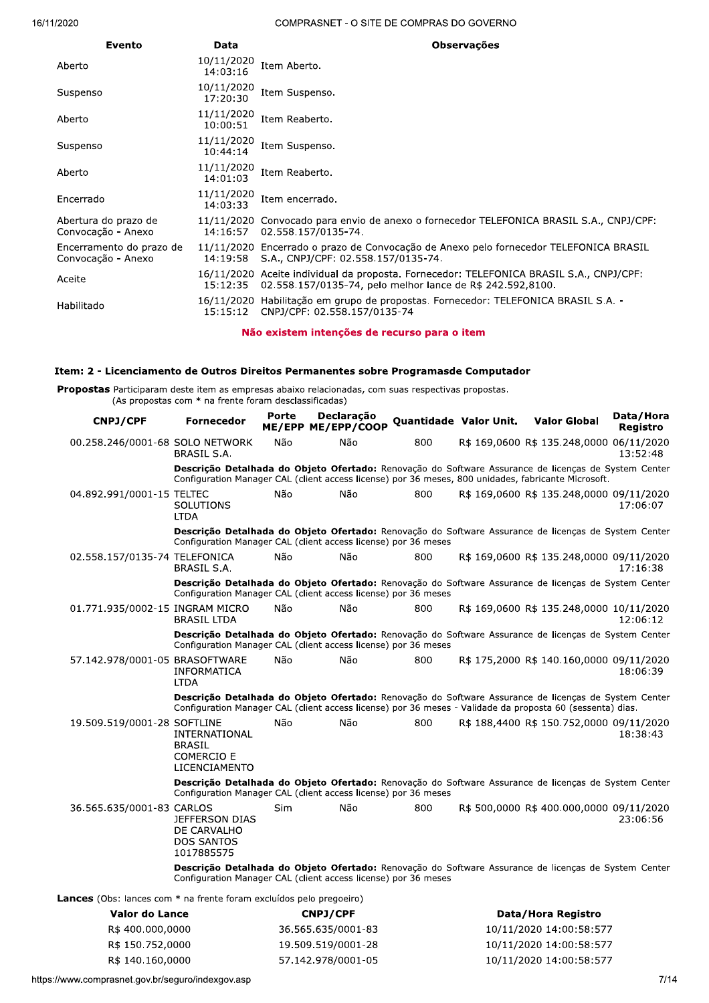| Evento                                         | Data                   | <b>Observações</b>                                                                                                                                    |
|------------------------------------------------|------------------------|-------------------------------------------------------------------------------------------------------------------------------------------------------|
| Aberto                                         | 10/11/2020<br>14:03:16 | Item Aberto.                                                                                                                                          |
| Suspenso                                       | 10/11/2020<br>17:20:30 | Item Suspenso.                                                                                                                                        |
| Aberto                                         | 11/11/2020<br>10:00:51 | Item Reaberto.                                                                                                                                        |
| Suspenso                                       | 11/11/2020<br>10:44:14 | Item Suspenso.                                                                                                                                        |
| Aberto                                         | 11/11/2020<br>14:01:03 | Item Reaberto.                                                                                                                                        |
| Encerrado                                      | 11/11/2020<br>14:03:33 | Item encerrado.                                                                                                                                       |
| Abertura do prazo de<br>Convocação - Anexo     | 14:16:57               | 11/11/2020 Convocado para envio de anexo o fornecedor TELEFONICA BRASIL S.A., CNPJ/CPF:<br>02.558.157/0135-74.                                        |
| Encerramento do prazo de<br>Convocação - Anexo | 14:19:58               | 11/11/2020 Encerrado o prazo de Convocação de Anexo pelo fornecedor TELEFONICA BRASIL<br>S.A., CNPJ/CPF: 02.558.157/0135-74.                          |
| Aceite                                         | 15:12:35               | 16/11/2020 Aceite individual da proposta. Fornecedor: TELEFONICA BRASIL S.A., CNPJ/CPF:<br>02.558.157/0135-74, pelo melhor lance de R\$ 242.592,8100. |
| Habilitado                                     | 15:15:12               | 16/11/2020 Habilitação em grupo de propostas. Fornecedor: TELEFONICA BRASIL S.A. -<br>CNPJ/CPF: 02.558.157/0135-74                                    |

Não existem intenções de recurso para o item

## Item: 2 - Licenciamento de Outros Direitos Permanentes sobre Programasde Computador

Propostas Participaram deste item as empresas abaixo relacionadas, com suas respectivas propostas. (As propostas com \* na frente foram desclassificadas)

| <b>CNPJ/CPF</b>                                                            | Fornecedor                                                                                                                                                                                                        | Porte | Declaração<br>ME/EPP ME/EPP/COOP | Quantidade Valor Unit. | <b>Valor Global</b>                      | Data / Hora<br>Registro |
|----------------------------------------------------------------------------|-------------------------------------------------------------------------------------------------------------------------------------------------------------------------------------------------------------------|-------|----------------------------------|------------------------|------------------------------------------|-------------------------|
| 00.258.246/0001-68 SOLO NETWORK                                            | BRASIL S.A.                                                                                                                                                                                                       | Não   | Não                              | 800                    | R\$ 169,0600 R\$ 135.248,0000 06/11/2020 | 13:52:48                |
|                                                                            | Descrição Detalhada do Objeto Ofertado: Renovação do Software Assurance de licenças de System Center<br>Configuration Manager CAL (client access license) por 36 meses, 800 unidades, fabricante Microsoft.       |       |                                  |                        |                                          |                         |
| 04.892.991/0001-15 TELTEC                                                  | SOLUTIONS<br><b>LTDA</b>                                                                                                                                                                                          | Não   | Não                              | 800                    | R\$ 169,0600 R\$ 135,248,0000 09/11/2020 | 17:06:07                |
|                                                                            | Descrição Detalhada do Objeto Ofertado: Renovação do Software Assurance de licenças de System Center<br>Configuration Manager CAL (client access license) por 36 meses                                            |       |                                  |                        |                                          |                         |
| 02.558.157/0135-74 TELEFONICA                                              | BRASIL S.A.                                                                                                                                                                                                       | Não   | Não                              | 800                    | R\$ 169,0600 R\$ 135.248,0000 09/11/2020 | 17:16:38                |
|                                                                            | Descrição Detalhada do Objeto Ofertado: Renovação do Software Assurance de licenças de System Center<br>Configuration Manager CAL (client access license) por 36 meses                                            |       |                                  |                        |                                          |                         |
| 01.771.935/0002-15 INGRAM MICRO                                            | <b>BRASIL LTDA</b>                                                                                                                                                                                                | Não   | Não                              | 800                    | R\$ 169,0600 R\$ 135.248,0000 10/11/2020 | 12:06:12                |
|                                                                            | Descrição Detalhada do Objeto Ofertado: Renovação do Software Assurance de licenças de System Center<br>Configuration Manager CAL (client access license) por 36 meses                                            |       |                                  |                        |                                          |                         |
| 57.142.978/0001-05 BRASOFTWARE                                             | INFORMATICA<br><b>LTDA</b>                                                                                                                                                                                        | Não   | Não                              | 800                    | R\$ 175,2000 R\$ 140.160,0000 09/11/2020 | 18:06:39                |
|                                                                            | Descrição Detalhada do Objeto Ofertado: Renovação do Software Assurance de licenças de System Center<br>Configuration Manager CAL (client access license) por 36 meses - Validade da proposta 60 (sessenta) dias. |       |                                  |                        |                                          |                         |
| 19.509.519/0001-28 SOFTLINE                                                | INTERNATIONAL<br>BRASIL<br><b>COMERCIO E</b><br>LICENCIAMENTO                                                                                                                                                     | Não   | Não                              | 800                    | R\$ 188,4400 R\$ 150.752,0000 09/11/2020 | 18:38:43                |
|                                                                            | Descrição Detalhada do Objeto Ofertado: Renovação do Software Assurance de licenças de System Center<br>Configuration Manager CAL (client access license) por 36 meses                                            |       |                                  |                        |                                          |                         |
| 36.565.635/0001-83 CARLOS                                                  | <b>JEFFERSON DIAS</b><br>DE CARVALHO<br>DOS SANTOS<br>1017885575                                                                                                                                                  | Sim   | Não                              | 800                    | R\$ 500,0000 R\$ 400.000,0000 09/11/2020 | 23:06:56                |
|                                                                            | Descrição Detalhada do Objeto Ofertado: Renovação do Software Assurance de licenças de System Center<br>Configuration Manager CAL (client access license) por 36 meses                                            |       |                                  |                        |                                          |                         |
| <b>Lances</b> (Obs: lances com * na frente foram excluídos pelo pregoeiro) |                                                                                                                                                                                                                   |       |                                  |                        |                                          |                         |
| Valor do Lance                                                             |                                                                                                                                                                                                                   |       | <b>CNPJ/CPF</b>                  |                        | Data/Hora Registro                       |                         |
| R\$ 400.000,0000                                                           |                                                                                                                                                                                                                   |       | 36.565.635/0001-83               |                        | 10/11/2020 14:00:58:577                  |                         |
| R\$ 150.752,0000                                                           |                                                                                                                                                                                                                   |       | 19.509.519/0001-28               |                        | 10/11/2020 14:00:58:577                  |                         |
| R\$ 140.160,0000                                                           |                                                                                                                                                                                                                   |       | 57.142.978/0001-05               |                        | 10/11/2020 14:00:58:577                  |                         |
| /www.comprasnet.gov.br/seguro/indexgov.asp                                 |                                                                                                                                                                                                                   |       |                                  |                        |                                          | 7/14                    |
|                                                                            |                                                                                                                                                                                                                   |       |                                  |                        |                                          |                         |
|                                                                            |                                                                                                                                                                                                                   |       |                                  |                        |                                          |                         |
|                                                                            |                                                                                                                                                                                                                   |       |                                  |                        |                                          |                         |
|                                                                            |                                                                                                                                                                                                                   |       |                                  |                        |                                          |                         |
|                                                                            |                                                                                                                                                                                                                   |       |                                  |                        |                                          |                         |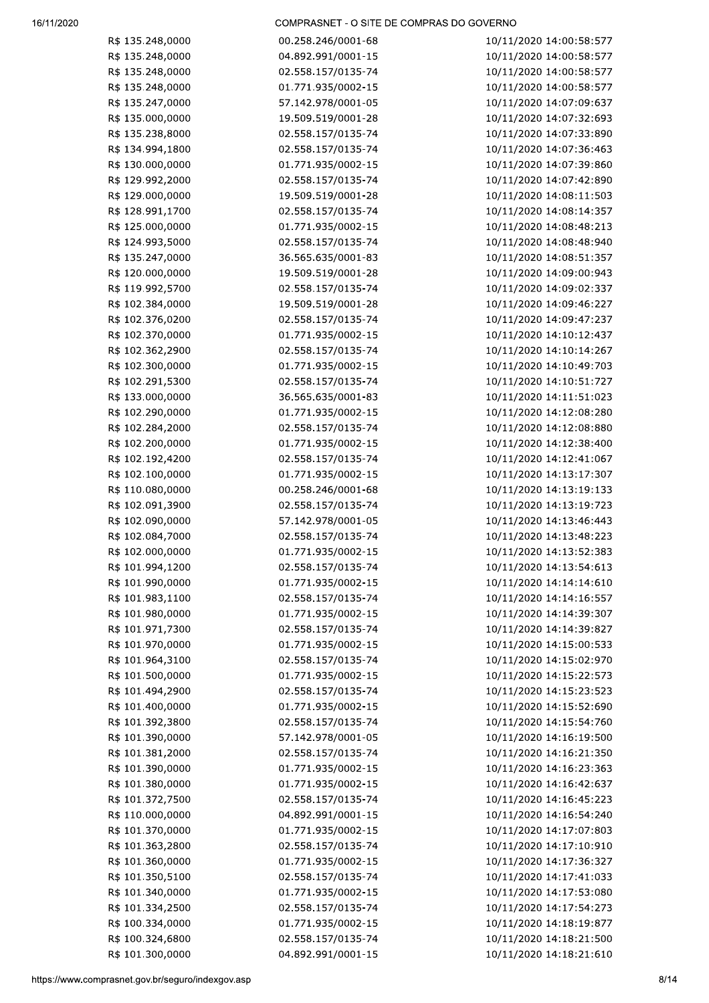| R\$ 135.248,0000                       | 00.258.246/0001-68 | 10/11/2020 14:00:58:577 |
|----------------------------------------|--------------------|-------------------------|
| R\$ 135.248,0000                       | 04.892.991/0001-15 | 10/11/2020 14:00:58:577 |
| R\$ 135.248,0000                       | 02.558.157/0135-74 | 10/11/2020 14:00:58:577 |
| R\$ 135.248,0000                       | 01.771.935/0002-15 | 10/11/2020 14:00:58:577 |
| R\$ 135.247,0000                       | 57.142.978/0001-05 | 10/11/2020 14:07:09:637 |
| R\$ 135.000,0000                       | 19.509.519/0001-28 | 10/11/2020 14:07:32:693 |
| R\$ 135.238,8000                       | 02.558.157/0135-74 | 10/11/2020 14:07:33:890 |
| R\$ 134.994,1800                       | 02.558.157/0135-74 | 10/11/2020 14:07:36:463 |
| R\$ 130.000,0000                       | 01.771.935/0002-15 | 10/11/2020 14:07:39:860 |
| R\$ 129.992,2000                       | 02.558.157/0135-74 | 10/11/2020 14:07:42:890 |
| R\$ 129.000,0000                       | 19.509.519/0001-28 | 10/11/2020 14:08:11:503 |
| R\$ 128.991,1700                       | 02.558.157/0135-74 | 10/11/2020 14:08:14:357 |
| R\$ 125.000,0000                       | 01.771.935/0002-15 | 10/11/2020 14:08:48:213 |
| R\$ 124.993,5000                       | 02.558.157/0135-74 | 10/11/2020 14:08:48:940 |
| R\$ 135.247,0000                       | 36.565.635/0001-83 | 10/11/2020 14:08:51:357 |
| R\$ 120.000,0000                       | 19.509.519/0001-28 | 10/11/2020 14:09:00:943 |
| R\$ 119.992,5700                       | 02.558.157/0135-74 | 10/11/2020 14:09:02:337 |
| R\$ 102.384,0000                       | 19.509.519/0001-28 | 10/11/2020 14:09:46:227 |
| R\$ 102.376,0200                       | 02.558.157/0135-74 | 10/11/2020 14:09:47:237 |
| R\$ 102.370,0000                       | 01.771.935/0002-15 | 10/11/2020 14:10:12:437 |
| R\$ 102.362,2900                       | 02.558.157/0135-74 | 10/11/2020 14:10:14:267 |
| R\$ 102.300,0000                       | 01.771.935/0002-15 | 10/11/2020 14:10:49:703 |
| R\$ 102.291,5300                       | 02.558.157/0135-74 | 10/11/2020 14:10:51:727 |
| R\$ 133.000,0000                       | 36.565.635/0001-83 | 10/11/2020 14:11:51:023 |
| R\$ 102.290,0000                       | 01.771.935/0002-15 | 10/11/2020 14:12:08:280 |
| R\$ 102.284,2000                       | 02.558.157/0135-74 | 10/11/2020 14:12:08:880 |
| R\$ 102.200,0000                       | 01.771.935/0002-15 | 10/11/2020 14:12:38:400 |
| R\$ 102.192,4200                       | 02.558.157/0135-74 | 10/11/2020 14:12:41:067 |
| R\$ 102.100,0000                       | 01.771.935/0002-15 | 10/11/2020 14:13:17:307 |
| R\$ 110.080,0000                       | 00.258.246/0001-68 | 10/11/2020 14:13:19:133 |
| R\$ 102.091,3900                       | 02.558.157/0135-74 | 10/11/2020 14:13:19:723 |
| R\$ 102.090,0000                       | 57.142.978/0001-05 | 10/11/2020 14:13:46:443 |
| R\$ 102.084,7000                       | 02.558.157/0135-74 | 10/11/2020 14:13:48:223 |
| R\$ 102.000,0000                       | 01.771.935/0002-15 | 10/11/2020 14:13:52:383 |
| R\$ 101.994,1200                       | 02.558.157/0135-74 | 10/11/2020 14:13:54:613 |
| R\$ 101.990,0000                       | 01.771.935/0002-15 | 10/11/2020 14:14:14:610 |
| R\$ 101.983,1100                       | 02.558.157/0135-74 | 10/11/2020 14:14:16:557 |
| R\$ 101.980,0000                       | 01.771.935/0002-15 | 10/11/2020 14:14:39:307 |
| R\$ 101.971,7300                       | 02.558.157/0135-74 | 10/11/2020 14:14:39:827 |
| R\$ 101.970,0000                       | 01.771.935/0002-15 | 10/11/2020 14:15:00:533 |
| R\$ 101.964,3100                       | 02.558.157/0135-74 | 10/11/2020 14:15:02:970 |
| R\$ 101.500,0000                       | 01.771.935/0002-15 | 10/11/2020 14:15:22:573 |
| R\$ 101.494,2900                       | 02.558.157/0135-74 | 10/11/2020 14:15:23:523 |
| R\$ 101.400,0000                       | 01.771.935/0002-15 | 10/11/2020 14:15:52:690 |
| R\$ 101.392,3800                       | 02.558.157/0135-74 | 10/11/2020 14:15:54:760 |
| R\$ 101.390,0000                       | 57.142.978/0001-05 | 10/11/2020 14:16:19:500 |
| R\$ 101.381,2000                       | 02.558.157/0135-74 | 10/11/2020 14:16:21:350 |
| R\$ 101.390,0000                       | 01.771.935/0002-15 | 10/11/2020 14:16:23:363 |
| R\$ 101.380,0000                       | 01.771.935/0002-15 | 10/11/2020 14:16:42:637 |
| R\$ 101.372,7500                       | 02.558.157/0135-74 | 10/11/2020 14:16:45:223 |
| R\$ 110.000,0000                       | 04.892.991/0001-15 | 10/11/2020 14:16:54:240 |
| R\$ 101.370,0000                       | 01.771.935/0002-15 | 10/11/2020 14:17:07:803 |
| R\$ 101.363,2800                       | 02.558.157/0135-74 | 10/11/2020 14:17:10:910 |
| R\$ 101.360,0000                       | 01.771.935/0002-15 | 10/11/2020 14:17:36:327 |
| R\$ 101.350,5100                       | 02.558.157/0135-74 | 10/11/2020 14:17:41:033 |
| R\$ 101.340,0000                       | 01.771.935/0002-15 | 10/11/2020 14:17:53:080 |
| R\$ 101.334,2500                       | 02.558.157/0135-74 | 10/11/2020 14:17:54:273 |
| R\$ 100.334,0000                       | 01.771.935/0002-15 | 10/11/2020 14:18:19:877 |
| R\$ 100.324,6800                       | 02.558.157/0135-74 | 10/11/2020 14:18:21:500 |
| R\$ 101.300,0000                       | 04.892.991/0001-15 | 10/11/2020 14:18:21:610 |
|                                        |                    |                         |
| .comprasnet.gov.br/seguro/indexgov.asp |                    | 8/1                     |
|                                        |                    |                         |
|                                        |                    |                         |
|                                        |                    |                         |
|                                        |                    |                         |
|                                        |                    |                         |
|                                        |                    |                         |
|                                        |                    |                         |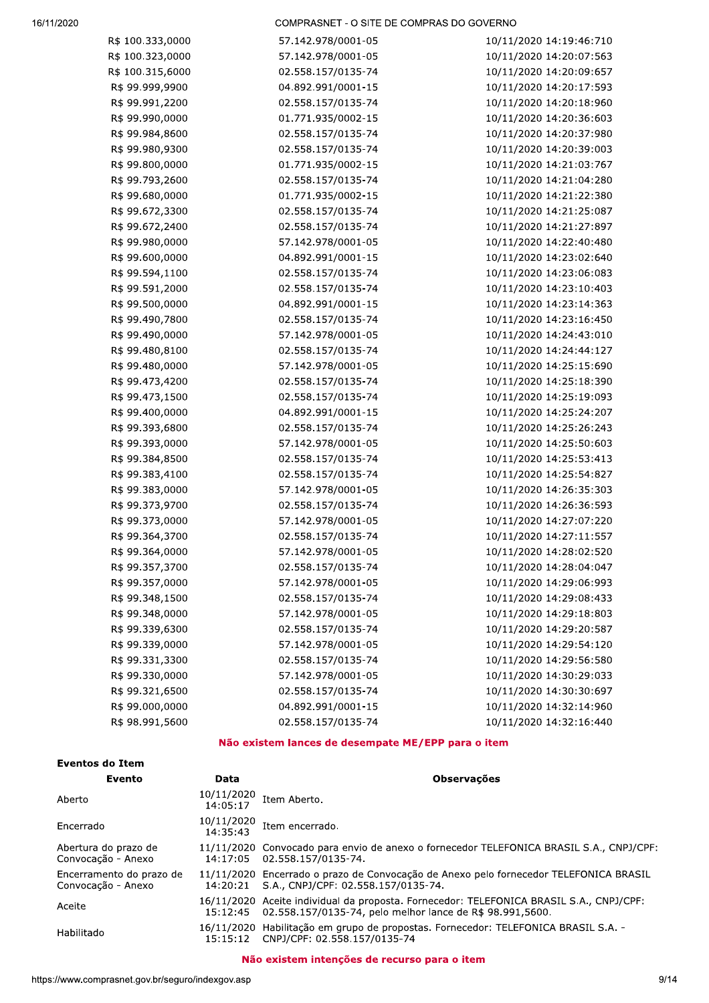| R\$ 100.333,0000 | 57.142.978/0001-05 | 10/11/2020 14:19:46:710 |
|------------------|--------------------|-------------------------|
| R\$ 100.323,0000 | 57.142.978/0001-05 | 10/11/2020 14:20:07:563 |
| R\$ 100.315,6000 | 02.558.157/0135-74 | 10/11/2020 14:20:09:657 |
| R\$ 99.999,9900  | 04.892.991/0001-15 | 10/11/2020 14:20:17:593 |
| R\$ 99.991,2200  | 02.558.157/0135-74 | 10/11/2020 14:20:18:960 |
| R\$ 99.990,0000  | 01.771.935/0002-15 | 10/11/2020 14:20:36:603 |
| R\$ 99.984,8600  | 02.558.157/0135-74 | 10/11/2020 14:20:37:980 |
| R\$ 99.980,9300  | 02.558.157/0135-74 | 10/11/2020 14:20:39:003 |
| R\$ 99.800,0000  | 01.771.935/0002-15 | 10/11/2020 14:21:03:767 |
| R\$ 99.793,2600  | 02.558.157/0135-74 | 10/11/2020 14:21:04:280 |
| R\$ 99.680,0000  | 01.771.935/0002-15 | 10/11/2020 14:21:22:380 |
| R\$ 99.672,3300  | 02.558.157/0135-74 | 10/11/2020 14:21:25:087 |
| R\$ 99.672,2400  | 02.558.157/0135-74 | 10/11/2020 14:21:27:897 |
| R\$ 99.980,0000  | 57.142.978/0001-05 | 10/11/2020 14:22:40:480 |
| R\$ 99.600,0000  | 04.892.991/0001-15 | 10/11/2020 14:23:02:640 |
| R\$ 99.594,1100  | 02.558.157/0135-74 | 10/11/2020 14:23:06:083 |
| R\$ 99.591,2000  | 02.558.157/0135-74 | 10/11/2020 14:23:10:403 |
| R\$ 99.500,0000  | 04.892.991/0001-15 | 10/11/2020 14:23:14:363 |
| R\$ 99.490,7800  | 02.558.157/0135-74 | 10/11/2020 14:23:16:450 |
| R\$ 99.490,0000  | 57.142.978/0001-05 | 10/11/2020 14:24:43:010 |
| R\$ 99.480,8100  | 02.558.157/0135-74 | 10/11/2020 14:24:44:127 |
| R\$ 99.480,0000  | 57.142.978/0001-05 | 10/11/2020 14:25:15:690 |
| R\$ 99.473,4200  | 02.558.157/0135-74 | 10/11/2020 14:25:18:390 |
| R\$ 99.473,1500  | 02.558.157/0135-74 | 10/11/2020 14:25:19:093 |
| R\$ 99.400,0000  | 04.892.991/0001-15 | 10/11/2020 14:25:24:207 |
| R\$ 99.393,6800  | 02.558.157/0135-74 | 10/11/2020 14:25:26:243 |
| R\$ 99.393,0000  | 57.142.978/0001-05 | 10/11/2020 14:25:50:603 |
| R\$ 99.384,8500  | 02.558.157/0135-74 | 10/11/2020 14:25:53:413 |
| R\$ 99.383,4100  | 02.558.157/0135-74 | 10/11/2020 14:25:54:827 |
| R\$ 99.383,0000  | 57.142.978/0001-05 | 10/11/2020 14:26:35:303 |
| R\$ 99.373,9700  | 02.558.157/0135-74 | 10/11/2020 14:26:36:593 |
| R\$ 99.373,0000  | 57.142.978/0001-05 | 10/11/2020 14:27:07:220 |
| R\$ 99.364,3700  | 02.558.157/0135-74 | 10/11/2020 14:27:11:557 |
| R\$ 99.364,0000  | 57.142.978/0001-05 | 10/11/2020 14:28:02:520 |
| R\$ 99.357,3700  | 02.558.157/0135-74 | 10/11/2020 14:28:04:047 |
| R\$ 99.357,0000  | 57.142.978/0001-05 | 10/11/2020 14:29:06:993 |
| R\$ 99.348,1500  | 02.558.157/0135-74 | 10/11/2020 14:29:08:433 |
| R\$ 99.348,0000  | 57.142.978/0001-05 | 10/11/2020 14:29:18:803 |
| R\$ 99.339,6300  | 02.558.157/0135-74 | 10/11/2020 14:29:20:587 |
| R\$ 99.339,0000  | 57.142.978/0001-05 | 10/11/2020 14:29:54:120 |
| R\$ 99.331,3300  | 02.558.157/0135-74 | 10/11/2020 14:29:56:580 |
| R\$ 99.330,0000  | 57.142.978/0001-05 | 10/11/2020 14:30:29:033 |
| R\$ 99.321,6500  | 02.558.157/0135-74 | 10/11/2020 14:30:30:697 |
| R\$ 99.000,0000  | 04.892.991/0001-15 | 10/11/2020 14:32:14:960 |
| R\$ 98.991,5600  | 02.558.157/0135-74 | 10/11/2020 14:32:16:440 |
|                  |                    |                         |

## Não existem lances de desempate ME/EPP para o item

| Eventos do Item                                |                        |                                                                                                                                                      |  |  |
|------------------------------------------------|------------------------|------------------------------------------------------------------------------------------------------------------------------------------------------|--|--|
| Evento                                         | Data                   | <b>Observações</b>                                                                                                                                   |  |  |
| Aberto                                         | 10/11/2020<br>14:05:17 | Item Aberto.                                                                                                                                         |  |  |
| Encerrado                                      | 10/11/2020<br>14:35:43 | Item encerrado.                                                                                                                                      |  |  |
| Abertura do prazo de<br>Convocação - Anexo     | 14:17:05               | 11/11/2020 Convocado para envio de anexo o fornecedor TELEFONICA BRASIL S.A., CNPJ/CPF:<br>02.558.157/0135-74.                                       |  |  |
| Encerramento do prazo de<br>Convocação - Anexo | 14:20:21               | 11/11/2020 Encerrado o prazo de Convocação de Anexo pelo fornecedor TELEFONICA BRASIL<br>S.A., CNPJ/CPF: 02.558.157/0135-74.                         |  |  |
| Aceite                                         | 15:12:45               | 16/11/2020 Aceite individual da proposta. Fornecedor: TELEFONICA BRASIL S.A., CNPJ/CPF:<br>02.558.157/0135-74, pelo melhor lance de R\$ 98.991,5600. |  |  |
| Habilitado                                     | 15:15:12               | 16/11/2020 Habilitação em grupo de propostas. Fornecedor: TELEFONICA BRASIL S.A. -<br>CNPJ/CPF: 02.558.157/0135-74                                   |  |  |

## Não existem intenções de recurso para o item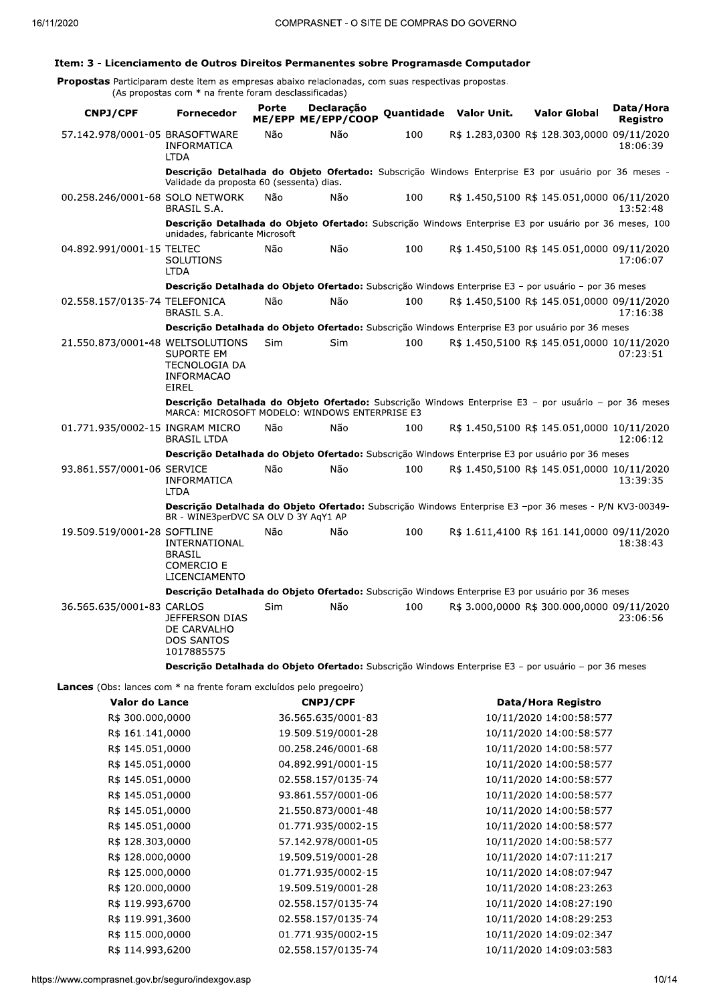## Item: 3 - Licenciamento de Outros Direitos Permanentes sobre Programasde Computador

**Propostas** Participaram deste item as empresas abaixo relacionadas, com suas respectivas propostas.<br>(As propostas com \* na frente foram desclassificadas)

| <b>CNPJ/CPF</b>                                                            | <b>Fornecedor</b>                                                                                                                                       | Porte | Declaração<br>ME/EPP ME/EPP/COOP |     | Quantidade Valor Unit. | <b>Valor Global</b>                        | Data/Hora                   |
|----------------------------------------------------------------------------|---------------------------------------------------------------------------------------------------------------------------------------------------------|-------|----------------------------------|-----|------------------------|--------------------------------------------|-----------------------------|
| 57.142.978/0001-05 BRASOFTWARE                                             | <b>INFORMATICA</b><br><b>LTDA</b>                                                                                                                       | Não   | Não                              | 100 |                        | R\$ 1.283,0300 R\$ 128.303,0000 09/11/2020 | <b>Registro</b><br>18:06:39 |
|                                                                            | Descrição Detalhada do Objeto Ofertado: Subscrição Windows Enterprise E3 por usuário por 36 meses -<br>Validade da proposta 60 (sessenta) dias.         |       |                                  |     |                        |                                            |                             |
| 00.258.246/0001-68 SOLO NETWORK                                            | <b>BRASIL S.A.</b>                                                                                                                                      | Não   | Não                              | 100 |                        | R\$ 1.450,5100 R\$ 145.051,0000 06/11/2020 | 13:52:48                    |
|                                                                            | Descrição Detalhada do Objeto Ofertado: Subscrição Windows Enterprise E3 por usuário por 36 meses, 100<br>unidades, fabricante Microsoft                |       |                                  |     |                        |                                            |                             |
| 04.892.991/0001-15 TELTEC                                                  | SOLUTIONS<br><b>LTDA</b>                                                                                                                                | Não   | Não                              | 100 |                        | R\$ 1.450,5100 R\$ 145.051,0000 09/11/2020 | 17:06:07                    |
|                                                                            | Descrição Detalhada do Objeto Ofertado: Subscrição Windows Enterprise E3 - por usuário - por 36 meses                                                   |       |                                  |     |                        |                                            |                             |
| 02.558.157/0135-74 TELEFONICA                                              | <b>BRASIL S.A.</b>                                                                                                                                      | Não   | Não                              | 100 |                        | R\$ 1.450,5100 R\$ 145.051,0000 09/11/2020 | 17:16:38                    |
|                                                                            | Descrição Detalhada do Objeto Ofertado: Subscrição Windows Enterprise E3 por usuário por 36 meses                                                       |       |                                  |     |                        |                                            |                             |
| 21.550.873/0001-48 WELTSOLUTIONS                                           | <b>SUPORTE EM</b><br><b>TECNOLOGIA DA</b><br><b>INFORMACAO</b><br><b>EIREL</b>                                                                          | Sim   | Sim                              | 100 |                        | R\$ 1.450,5100 R\$ 145.051,0000 10/11/2020 | 07:23:51                    |
|                                                                            | Descrição Detalhada do Objeto Ofertado: Subscrição Windows Enterprise E3 - por usuário - por 36 meses<br>MARCA: MICROSOFT MODELO: WINDOWS ENTERPRISE E3 |       |                                  |     |                        |                                            |                             |
| 01.771.935/0002-15 INGRAM MICRO                                            | <b>BRASIL LTDA</b>                                                                                                                                      | Não   | Não                              | 100 |                        | R\$ 1.450,5100 R\$ 145.051,0000 10/11/2020 | 12:06:12                    |
|                                                                            | Descrição Detalhada do Objeto Ofertado: Subscrição Windows Enterprise E3 por usuário por 36 meses                                                       |       |                                  |     |                        |                                            |                             |
| 93.861.557/0001-06 SERVICE                                                 | <b>INFORMATICA</b><br><b>LTDA</b>                                                                                                                       | Não   | Não                              | 100 |                        | R\$ 1.450,5100 R\$ 145.051,0000 10/11/2020 | 13:39:35                    |
|                                                                            | Descrição Detalhada do Objeto Ofertado: Subscrição Windows Enterprise E3 -por 36 meses - P/N KV3-00349-<br>BR - WINE3perDVC SA OLV D 3Y AgY1 AP         |       |                                  |     |                        |                                            |                             |
| 19.509.519/0001-28 SOFTLINE                                                | <b>INTERNATIONAL</b><br><b>BRASIL</b><br><b>COMERCIO E</b><br>LICENCIAMENTO                                                                             | Não   | Não                              | 100 |                        | R\$ 1.611,4100 R\$ 161.141,0000 09/11/2020 | 18:38:43                    |
|                                                                            | Descrição Detalhada do Objeto Ofertado: Subscrição Windows Enterprise E3 por usuário por 36 meses                                                       |       |                                  |     |                        |                                            |                             |
| 36.565.635/0001-83 CARLOS                                                  | <b>JEFFERSON DIAS</b><br>DE CARVALHO<br><b>DOS SANTOS</b><br>1017885575                                                                                 | Sim   | Não                              | 100 |                        | R\$ 3.000,0000 R\$ 300.000,0000 09/11/2020 | 23:06:56                    |
|                                                                            | Descrição Detalhada do Objeto Ofertado: Subscrição Windows Enterprise E3 - por usuário - por 36 meses                                                   |       |                                  |     |                        |                                            |                             |
| <b>Lances</b> (Obs: lances com * na frente foram excluídos pelo pregoeiro) |                                                                                                                                                         |       |                                  |     |                        |                                            |                             |

| <b>CNPJ/CPF</b>    | Data/Hora Registro      |
|--------------------|-------------------------|
| 36.565.635/0001-83 | 10/11/2020 14:00:58:577 |
| 19.509.519/0001-28 | 10/11/2020 14:00:58:577 |
| 00.258.246/0001-68 | 10/11/2020 14:00:58:577 |
| 04.892.991/0001-15 | 10/11/2020 14:00:58:577 |
| 02.558.157/0135-74 | 10/11/2020 14:00:58:577 |
| 93.861.557/0001-06 | 10/11/2020 14:00:58:577 |
| 21.550.873/0001-48 | 10/11/2020 14:00:58:577 |
| 01.771.935/0002-15 | 10/11/2020 14:00:58:577 |
| 57.142.978/0001-05 | 10/11/2020 14:00:58:577 |
| 19.509.519/0001-28 | 10/11/2020 14:07:11:217 |
| 01.771.935/0002-15 | 10/11/2020 14:08:07:947 |
| 19.509.519/0001-28 | 10/11/2020 14:08:23:263 |
| 02.558.157/0135-74 | 10/11/2020 14:08:27:190 |
| 02.558.157/0135-74 | 10/11/2020 14:08:29:253 |
| 01.771.935/0002-15 | 10/11/2020 14:09:02:347 |
| 02.558.157/0135-74 | 10/11/2020 14:09:03:583 |
|                    |                         |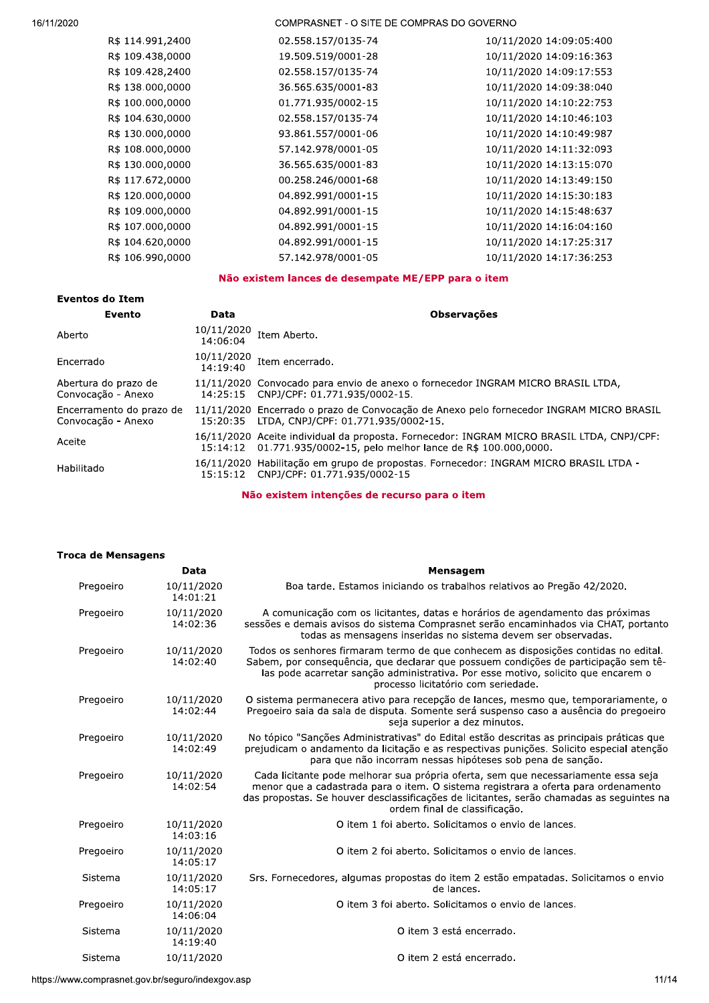| R\$ 114.991,2400 | 02.558.157/0135-74 | 10/11/2020 14:09:05:400 |
|------------------|--------------------|-------------------------|
| R\$ 109.438,0000 | 19.509.519/0001-28 | 10/11/2020 14:09:16:363 |
| R\$ 109.428,2400 | 02.558.157/0135-74 | 10/11/2020 14:09:17:553 |
| R\$ 138.000,0000 | 36.565.635/0001-83 | 10/11/2020 14:09:38:040 |
| R\$ 100.000,0000 | 01.771.935/0002-15 | 10/11/2020 14:10:22:753 |
| R\$ 104.630,0000 | 02.558.157/0135-74 | 10/11/2020 14:10:46:103 |
| R\$ 130.000,0000 | 93.861.557/0001-06 | 10/11/2020 14:10:49:987 |
| R\$ 108.000,0000 | 57.142.978/0001-05 | 10/11/2020 14:11:32:093 |
| R\$ 130.000,0000 | 36.565.635/0001-83 | 10/11/2020 14:13:15:070 |
| R\$ 117.672,0000 | 00.258.246/0001-68 | 10/11/2020 14:13:49:150 |
| R\$ 120.000,0000 | 04.892.991/0001-15 | 10/11/2020 14:15:30:183 |
| R\$ 109.000,0000 | 04.892.991/0001-15 | 10/11/2020 14:15:48:637 |
| R\$ 107.000,0000 | 04.892.991/0001-15 | 10/11/2020 14:16:04:160 |
| R\$ 104.620,0000 | 04.892.991/0001-15 | 10/11/2020 14:17:25:317 |
| R\$ 106.990,0000 | 57.142.978/0001-05 | 10/11/2020 14:17:36:253 |
|                  |                    |                         |

# Não existem lances de desempate ME/EPP para o item

| Eventos do Item                                |                        |                                                                                                                                                         |  |
|------------------------------------------------|------------------------|---------------------------------------------------------------------------------------------------------------------------------------------------------|--|
| Evento                                         | Data                   | <b>Observações</b>                                                                                                                                      |  |
| Aberto                                         | 10/11/2020<br>14:06:04 | Item Aberto.                                                                                                                                            |  |
| Encerrado                                      | 10/11/2020<br>14:19:40 | Item encerrado.                                                                                                                                         |  |
| Abertura do prazo de<br>Convocação - Anexo     | 14:25:15               | 11/11/2020 Convocado para envio de anexo o fornecedor INGRAM MICRO BRASIL LTDA,<br>CNPJ/CPF: 01.771.935/0002-15.                                        |  |
| Encerramento do prazo de<br>Convocação - Anexo | 15:20:35               | 11/11/2020 Encerrado o prazo de Convocação de Anexo pelo fornecedor INGRAM MICRO BRASIL<br>LTDA, CNPJ/CPF: 01.771.935/0002-15.                          |  |
| Aceite                                         | 15:14:12               | 16/11/2020 Aceite individual da proposta. Fornecedor: INGRAM MICRO BRASIL LTDA, CNPJ/CPF:<br>01.771.935/0002-15, pelo melhor lance de R\$ 100.000,0000. |  |
| Habilitado                                     | 15:15:12               | 16/11/2020 Habilitação em grupo de propostas. Fornecedor: INGRAM MICRO BRASIL LTDA -<br>CNPJ/CPF: 01.771.935/0002-15                                    |  |

Não existem intenções de recurso para o item

| Troca de Mensagens |                        |                                                                                                                                                                                                                                                                                                        |
|--------------------|------------------------|--------------------------------------------------------------------------------------------------------------------------------------------------------------------------------------------------------------------------------------------------------------------------------------------------------|
|                    | Data                   | Mensagem                                                                                                                                                                                                                                                                                               |
| Pregoeiro          | 10/11/2020<br>14:01:21 | Boa tarde. Estamos iniciando os trabalhos relativos ao Pregão 42/2020.                                                                                                                                                                                                                                 |
| Pregoeiro          | 10/11/2020<br>14:02:36 | A comunicação com os licitantes, datas e horários de agendamento das próximas<br>sessões e demais avisos do sistema Comprasnet serão encaminhados via CHAT, portanto<br>todas as mensagens inseridas no sistema devem ser observadas.                                                                  |
| Pregoeiro          | 10/11/2020<br>14:02:40 | Todos os senhores firmaram termo de que conhecem as disposições contidas no edital.<br>Sabem, por consequência, que declarar que possuem condições de participação sem tê-<br>las pode acarretar sanção administrativa. Por esse motivo, solicito que encarem o<br>processo licitatório com seriedade. |
| Pregoeiro          | 10/11/2020<br>14:02:44 | O sistema permanecera ativo para recepção de lances, mesmo que, temporariamente, o<br>Pregoeiro saia da sala de disputa. Somente será suspenso caso a ausência do pregoeiro<br>seja superior a dez minutos.                                                                                            |
| Pregoeiro          | 10/11/2020<br>14:02:49 | No tópico "Sanções Administrativas" do Edital estão descritas as principais práticas que<br>prejudicam o andamento da licitação e as respectivas punições. Solicito especial atenção<br>para que não incorram nessas hipóteses sob pena de sanção.                                                     |
| Pregoeiro          | 10/11/2020<br>14:02:54 | Cada licitante pode melhorar sua própria oferta, sem que necessariamente essa seja<br>menor que a cadastrada para o item. O sistema registrara a oferta para ordenamento<br>das propostas. Se houver desclassificações de licitantes, serão chamadas as seguintes na<br>ordem final de classificação.  |
| Pregoeiro          | 10/11/2020<br>14:03:16 | O item 1 foi aberto. Solicitamos o envio de lances.                                                                                                                                                                                                                                                    |
| Pregoeiro          | 10/11/2020<br>14:05:17 | O item 2 foi aberto. Solicitamos o envio de lances.                                                                                                                                                                                                                                                    |
| Sistema            | 10/11/2020<br>14:05:17 | Srs. Fornecedores, algumas propostas do item 2 estão empatadas. Solicitamos o envio<br>de lances.                                                                                                                                                                                                      |
| Pregoeiro          | 10/11/2020<br>14:06:04 | O item 3 foi aberto. Solicitamos o envio de lances.                                                                                                                                                                                                                                                    |
| Sistema            | 10/11/2020<br>14:19:40 | O item 3 está encerrado.                                                                                                                                                                                                                                                                               |
| Sistema            | 10/11/2020             | O item 2 está encerrado.                                                                                                                                                                                                                                                                               |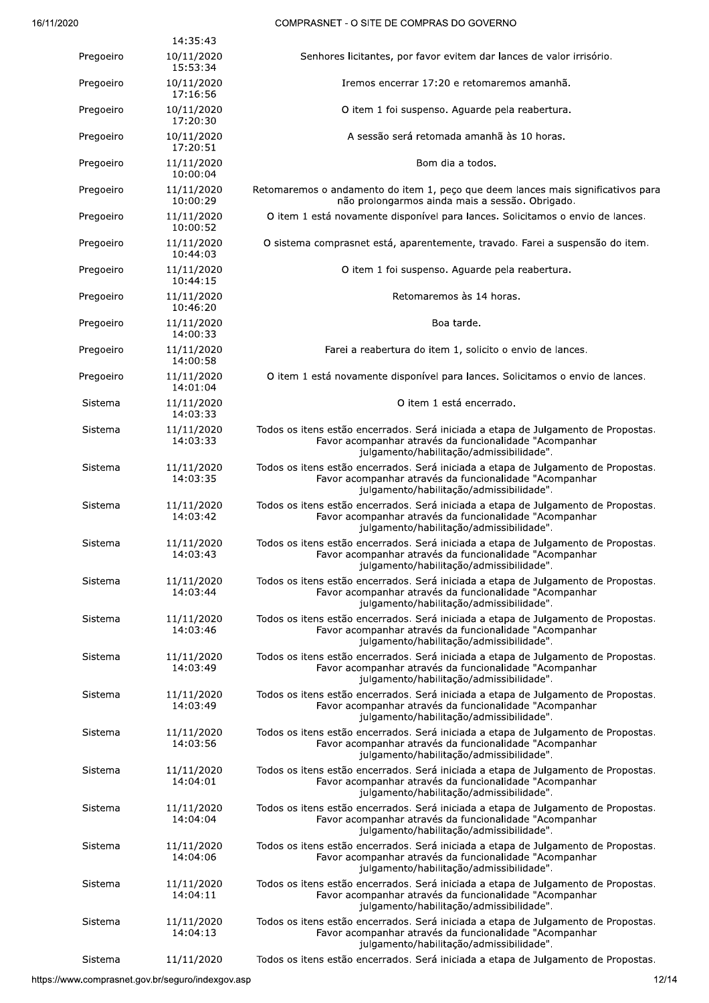|           | 14:35:43               |                                                                                                                                                                                          |
|-----------|------------------------|------------------------------------------------------------------------------------------------------------------------------------------------------------------------------------------|
| Pregoeiro | 10/11/2020<br>15:53:34 | Senhores licitantes, por favor evitem dar lances de valor irrisório.                                                                                                                     |
| Pregoeiro | 10/11/2020<br>17:16:56 | Iremos encerrar 17:20 e retomaremos amanhã.                                                                                                                                              |
| Pregoeiro | 10/11/2020<br>17:20:30 | O item 1 foi suspenso. Aguarde pela reabertura.                                                                                                                                          |
| Pregoeiro | 10/11/2020<br>17:20:51 | A sessão será retomada amanhã às 10 horas.                                                                                                                                               |
| Pregoeiro | 11/11/2020<br>10:00:04 | Bom dia a todos.                                                                                                                                                                         |
| Pregoeiro | 11/11/2020<br>10:00:29 | Retomaremos o andamento do item 1, peço que deem lances mais significativos para<br>não prolongarmos ainda mais a sessão. Obrigado.                                                      |
| Pregoeiro | 11/11/2020<br>10:00:52 | O item 1 está novamente disponível para lances. Solicitamos o envio de lances.                                                                                                           |
| Pregoeiro | 11/11/2020<br>10:44:03 | O sistema comprasnet está, aparentemente, travado. Farei a suspensão do item.                                                                                                            |
| Pregoeiro | 11/11/2020<br>10:44:15 | O item 1 foi suspenso. Aguarde pela reabertura.                                                                                                                                          |
| Pregoeiro | 11/11/2020<br>10:46:20 | Retomaremos às 14 horas.                                                                                                                                                                 |
| Pregoeiro | 11/11/2020<br>14:00:33 | Boa tarde.                                                                                                                                                                               |
| Pregoeiro | 11/11/2020<br>14:00:58 | Farei a reabertura do item 1, solicito o envio de lances.                                                                                                                                |
| Pregoeiro | 11/11/2020<br>14:01:04 | O item 1 está novamente disponível para lances. Solicitamos o envio de lances.                                                                                                           |
| Sistema   | 11/11/2020<br>14:03:33 | O item 1 está encerrado.                                                                                                                                                                 |
| Sistema   | 11/11/2020<br>14:03:33 | Todos os itens estão encerrados. Será iniciada a etapa de Julgamento de Propostas.<br>Favor acompanhar através da funcionalidade "Acompanhar<br>julgamento/habilitação/admissibilidade". |
| Sistema   | 11/11/2020<br>14:03:35 | Todos os itens estão encerrados. Será iniciada a etapa de Julgamento de Propostas.<br>Favor acompanhar através da funcionalidade "Acompanhar<br>julgamento/habilitação/admissibilidade". |
| Sistema   | 11/11/2020<br>14:03:42 | Todos os itens estão encerrados. Será iniciada a etapa de Julgamento de Propostas.<br>Favor acompanhar através da funcionalidade "Acompanhar<br>julgamento/habilitação/admissibilidade". |
| Sistema   | 11/11/2020<br>14:03:43 | Todos os itens estão encerrados. Será iniciada a etapa de Julgamento de Propostas.<br>Favor acompanhar através da funcionalidade "Acompanhar<br>julgamento/habilitação/admissibilidade". |
| Sistema   | 11/11/2020<br>14:03:44 | Todos os itens estão encerrados. Será iniciada a etapa de Julgamento de Propostas.<br>Favor acompanhar através da funcionalidade "Acompanhar<br>julgamento/habilitação/admissibilidade". |
| Sistema   | 11/11/2020<br>14:03:46 | Todos os itens estão encerrados. Será iniciada a etapa de Julgamento de Propostas.<br>Favor acompanhar através da funcionalidade "Acompanhar<br>julgamento/habilitação/admissibilidade". |
| Sistema   | 11/11/2020<br>14:03:49 | Todos os itens estão encerrados. Será iniciada a etapa de Julgamento de Propostas.<br>Favor acompanhar através da funcionalidade "Acompanhar<br>julgamento/habilitação/admissibilidade". |
| Sistema   | 11/11/2020<br>14:03:49 | Todos os itens estão encerrados. Será iniciada a etapa de Julgamento de Propostas.<br>Favor acompanhar através da funcionalidade "Acompanhar<br>julgamento/habilitação/admissibilidade". |
| Sistema   | 11/11/2020<br>14:03:56 | Todos os itens estão encerrados. Será iniciada a etapa de Julgamento de Propostas.<br>Favor acompanhar através da funcionalidade "Acompanhar<br>julgamento/habilitação/admissibilidade". |
| Sistema   | 11/11/2020<br>14:04:01 | Todos os itens estão encerrados. Será iniciada a etapa de Julgamento de Propostas.<br>Favor acompanhar através da funcionalidade "Acompanhar<br>julgamento/habilitação/admissibilidade". |
| Sistema   | 11/11/2020<br>14:04:04 | Todos os itens estão encerrados. Será iniciada a etapa de Julgamento de Propostas.<br>Favor acompanhar através da funcionalidade "Acompanhar<br>julgamento/habilitação/admissibilidade". |
| Sistema   | 11/11/2020<br>14:04:06 | Todos os itens estão encerrados. Será iniciada a etapa de Julgamento de Propostas.<br>Favor acompanhar através da funcionalidade "Acompanhar<br>julgamento/habilitação/admissibilidade". |
| Sistema   | 11/11/2020<br>14:04:11 | Todos os itens estão encerrados. Será iniciada a etapa de Julgamento de Propostas.<br>Favor acompanhar através da funcionalidade "Acompanhar<br>julgamento/habilitação/admissibilidade". |
| Sistema   | 11/11/2020<br>14:04:13 | Todos os itens estão encerrados. Será iniciada a etapa de Julgamento de Propostas.<br>Favor acompanhar através da funcionalidade "Acompanhar<br>julgamento/habilitação/admissibilidade". |
| Sistema   | 11/11/2020             | Todos os itens estão encerrados. Será iniciada a etapa de Julgamento de Propostas.                                                                                                       |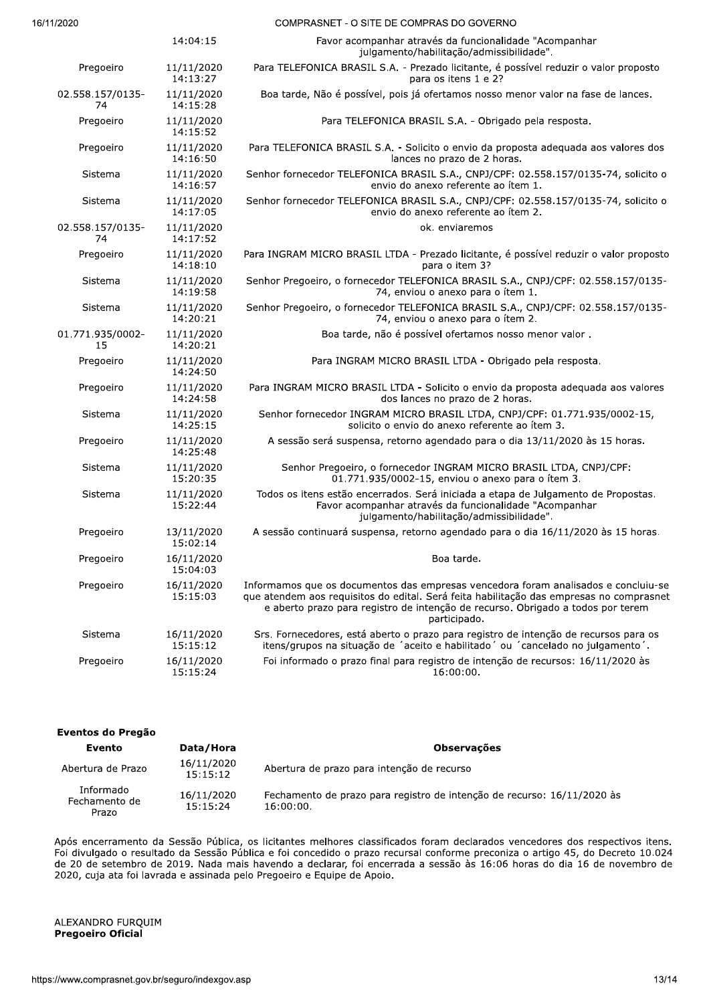|                        | 14:04:15               | Favor acompanhar através da funcionalidade "Acompanhar<br>julgamento/habilitação/admissibilidade".                                                                                                                                                                               |
|------------------------|------------------------|----------------------------------------------------------------------------------------------------------------------------------------------------------------------------------------------------------------------------------------------------------------------------------|
| Pregoeiro              | 11/11/2020<br>14:13:27 | Para TELEFONICA BRASIL S.A. - Prezado licitante, é possível reduzir o valor proposto<br>para os itens 1 e 2?                                                                                                                                                                     |
| 02.558.157/0135-<br>74 | 11/11/2020<br>14:15:28 | Boa tarde, Não é possível, pois já ofertamos nosso menor valor na fase de lances.                                                                                                                                                                                                |
| Pregoeiro              | 11/11/2020<br>14:15:52 | Para TELEFONICA BRASIL S.A. - Obrigado pela resposta.                                                                                                                                                                                                                            |
| Pregoeiro              | 11/11/2020<br>14:16:50 | Para TELEFONICA BRASIL S.A. - Solicito o envio da proposta adequada aos valores dos<br>lances no prazo de 2 horas.                                                                                                                                                               |
| Sistema                | 11/11/2020<br>14:16:57 | Senhor fornecedor TELEFONICA BRASIL S.A., CNPJ/CPF: 02.558.157/0135-74, solicito o<br>envio do anexo referente ao ítem 1.                                                                                                                                                        |
| Sistema                | 11/11/2020<br>14:17:05 | Senhor fornecedor TELEFONICA BRASIL S.A., CNPJ/CPF: 02.558.157/0135-74, solicito o<br>envio do anexo referente ao ítem 2.                                                                                                                                                        |
| 02.558.157/0135-<br>74 | 11/11/2020<br>14:17:52 | ok. enviaremos                                                                                                                                                                                                                                                                   |
| Pregoeiro              | 11/11/2020<br>14:18:10 | Para INGRAM MICRO BRASIL LTDA - Prezado licitante, é possível reduzir o valor proposto<br>para o item 3?                                                                                                                                                                         |
| Sistema                | 11/11/2020<br>14:19:58 | Senhor Pregoeiro, o fornecedor TELEFONICA BRASIL S.A., CNPJ/CPF: 02.558.157/0135-<br>74, enviou o anexo para o ítem 1.                                                                                                                                                           |
| Sistema                | 11/11/2020<br>14:20:21 | Senhor Pregoeiro, o fornecedor TELEFONICA BRASIL S.A., CNPJ/CPF: 02.558.157/0135-<br>74, enviou o anexo para o ítem 2.                                                                                                                                                           |
| 01.771.935/0002-<br>15 | 11/11/2020<br>14:20:21 | Boa tarde, não é possível ofertamos nosso menor valor.                                                                                                                                                                                                                           |
| Pregoeiro              | 11/11/2020<br>14:24:50 | Para INGRAM MICRO BRASIL LTDA - Obrigado pela resposta.                                                                                                                                                                                                                          |
| Pregoeiro              | 11/11/2020<br>14:24:58 | Para INGRAM MICRO BRASIL LTDA - Solicito o envio da proposta adequada aos valores<br>dos lances no prazo de 2 horas.                                                                                                                                                             |
| Sistema                | 11/11/2020<br>14:25:15 | Senhor fornecedor INGRAM MICRO BRASIL LTDA, CNPJ/CPF: 01.771.935/0002-15,<br>solicito o envio do anexo referente ao ítem 3.                                                                                                                                                      |
| Pregoeiro              | 11/11/2020<br>14:25:48 | A sessão será suspensa, retorno agendado para o dia 13/11/2020 às 15 horas.                                                                                                                                                                                                      |
| Sistema                | 11/11/2020<br>15:20:35 | Senhor Pregoeiro, o fornecedor INGRAM MICRO BRASIL LTDA, CNPJ/CPF:<br>01.771.935/0002-15, enviou o anexo para o ítem 3.                                                                                                                                                          |
| Sistema                | 11/11/2020<br>15:22:44 | Todos os itens estão encerrados. Será iniciada a etapa de Julgamento de Propostas.<br>Favor acompanhar através da funcionalidade "Acompanhar<br>julgamento/habilitação/admissibilidade".                                                                                         |
| Pregoeiro              | 13/11/2020<br>15:02:14 | A sessão continuará suspensa, retorno agendado para o dia 16/11/2020 às 15 horas.                                                                                                                                                                                                |
| Pregoeiro              | 16/11/2020<br>15:04:03 | Boa tarde.                                                                                                                                                                                                                                                                       |
| Pregoeiro              | 16/11/2020<br>15:15:03 | Informamos que os documentos das empresas vencedora foram analisados e concluiu-se<br>que atendem aos requisitos do edital. Será feita habilitação das empresas no comprasnet<br>e aberto prazo para registro de intenção de recurso. Obrigado a todos por terem<br>participado. |
| Sistema                | 16/11/2020<br>15:15:12 | Srs. Fornecedores, está aberto o prazo para registro de intenção de recursos para os<br>itens/grupos na situação de 'aceito e habilitado' ou 'cancelado no julgamento'.                                                                                                          |
| Pregoeiro              | 16/11/2020<br>15:15:24 | Foi informado o prazo final para registro de intenção de recursos: 16/11/2020 às<br>16:00:00.                                                                                                                                                                                    |

| Eventos do Pregão                   |                        |                                                                                      |  |
|-------------------------------------|------------------------|--------------------------------------------------------------------------------------|--|
| Evento                              | Data/Hora              | <b>Observações</b>                                                                   |  |
| Abertura de Prazo                   | 16/11/2020<br>15:15:12 | Abertura de prazo para intenção de recurso                                           |  |
| Informado<br>Fechamento de<br>Prazo | 16/11/2020<br>15:15:24 | Fechamento de prazo para registro de intenção de recurso: 16/11/2020 às<br>16:00:00. |  |

Após encerramento da Sessão Pública, os licitantes melhores classificados foram declarados vencedores dos respectivos itens. Foi divulgado o resultado da Sessão Publica e foi concedido o prazo recursal conforme preconiza o artigo 45, do Decreto 10.024 de 20 de setembro de 2019. Nada mais navendo a declarar, foi encerrada a sessão as 16:06 noras do dia 16 de novembro de 2020, cuja ata foi lavrada e assinada pelo Pregoeiro e Equipe de Apoio.

# RO FURQUIM<br>o Oficial<br>prasnet.gov.br/seguro/indexgov.asp<br>13/1 ALEXANDRO FURQUIM Pregoeiro Oficial